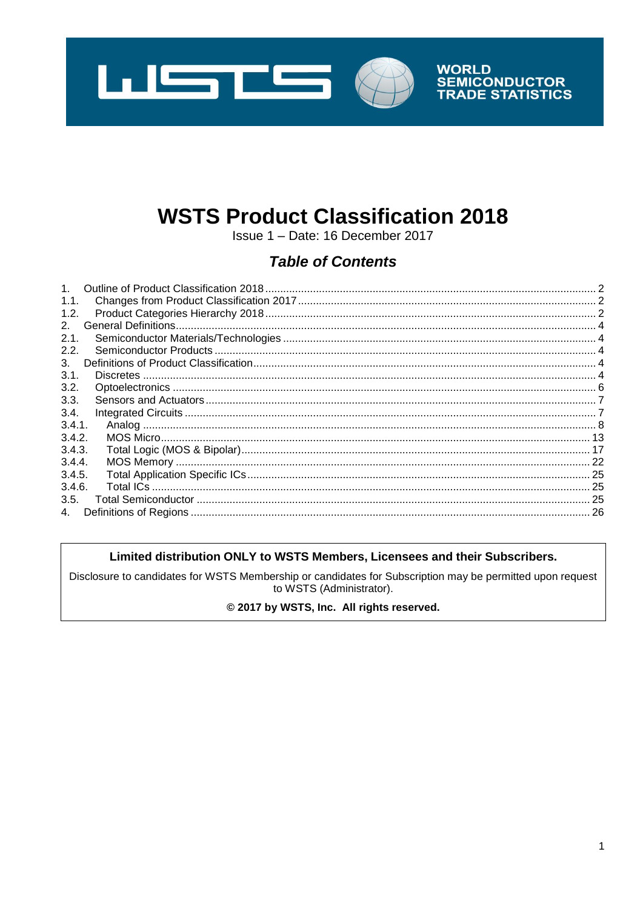

# **WSTS Product Classification 2018**

Issue 1 - Date: 16 December 2017

# **Table of Contents**

| $\mathbf{1}$ . |  |
|----------------|--|
| 1.1.           |  |
| 1.2.           |  |
| 2 <sup>1</sup> |  |
| 2.1.           |  |
| 2.2.           |  |
| 3.             |  |
| 3.1.           |  |
| 3.2.           |  |
| 3.3.           |  |
| 3.4.           |  |
| 3.4.1.         |  |
| 3.4.2.         |  |
| 3.4.3.         |  |
| 3.4.4.         |  |
| 3.4.5.         |  |
| 3.4.6.         |  |
| 3.5.           |  |
| 4.             |  |

#### Limited distribution ONLY to WSTS Members, Licensees and their Subscribers.

Disclosure to candidates for WSTS Membership or candidates for Subscription may be permitted upon request to WSTS (Administrator).

#### © 2017 by WSTS, Inc. All rights reserved.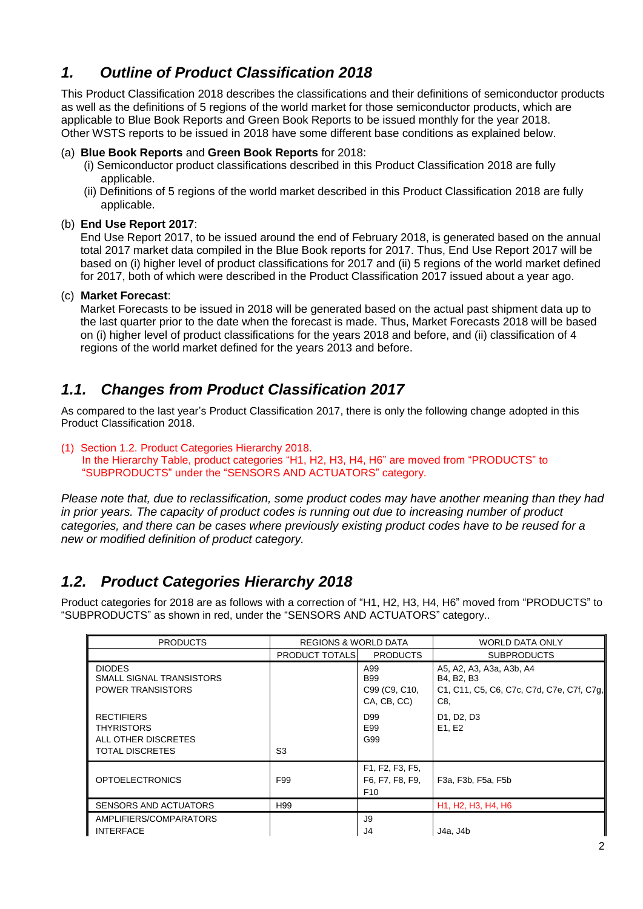# <span id="page-1-0"></span>*1. Outline of Product Classification 2018*

This Product Classification 2018 describes the classifications and their definitions of semiconductor products as well as the definitions of 5 regions of the world market for those semiconductor products, which are applicable to Blue Book Reports and Green Book Reports to be issued monthly for the year 2018. Other WSTS reports to be issued in 2018 have some different base conditions as explained below.

#### (a) **Blue Book Reports** and **Green Book Reports** for 2018:

- (i) Semiconductor product classifications described in this Product Classification 2018 are fully applicable.
- (ii) Definitions of 5 regions of the world market described in this Product Classification 2018 are fully applicable.

#### (b) **End Use Report 2017**:

End Use Report 2017, to be issued around the end of February 2018, is generated based on the annual total 2017 market data compiled in the Blue Book reports for 2017. Thus, End Use Report 2017 will be based on (i) higher level of product classifications for 2017 and (ii) 5 regions of the world market defined for 2017, both of which were described in the Product Classification 2017 issued about a year ago.

#### (c) **Market Forecast**:

Market Forecasts to be issued in 2018 will be generated based on the actual past shipment data up to the last quarter prior to the date when the forecast is made. Thus, Market Forecasts 2018 will be based on (i) higher level of product classifications for the years 2018 and before, and (ii) classification of 4 regions of the world market defined for the years 2013 and before.

# <span id="page-1-1"></span>*1.1. Changes from Product Classification 2017*

As compared to the last year's Product Classification 2017, there is only the following change adopted in this Product Classification 2018.

(1) Section 1.2. Product Categories Hierarchy 2018. In the Hierarchy Table, product categories "H1, H2, H3, H4, H6" are moved from "PRODUCTS" to "SUBPRODUCTS" under the "SENSORS AND ACTUATORS" category.

*Please note that, due to reclassification, some product codes may have another meaning than they had in prior years. The capacity of product codes is running out due to increasing number of product categories, and there can be cases where previously existing product codes have to be reused for a new or modified definition of product category.*

# <span id="page-1-2"></span>*1.2. Product Categories Hierarchy 2018*

Product categories for 2018 are as follows with a correction of "H1, H2, H3, H4, H6" moved from "PRODUCTS" to "SUBPRODUCTS" as shown in red, under the "SENSORS AND ACTUATORS" category..

| <b>PRODUCTS</b>                                                                         | <b>REGIONS &amp; WORLD DATA</b> |                                                       | <b>WORLD DATA ONLY</b>                                                                     |
|-----------------------------------------------------------------------------------------|---------------------------------|-------------------------------------------------------|--------------------------------------------------------------------------------------------|
|                                                                                         | <b>PRODUCT TOTALS</b>           | <b>PRODUCTS</b>                                       | <b>SUBPRODUCTS</b>                                                                         |
| <b>DIODES</b><br>SMALL SIGNAL TRANSISTORS<br><b>POWER TRANSISTORS</b>                   |                                 | A99<br><b>B99</b><br>C99 (C9, C10,<br>CA, CB, CC)     | A5, A2, A3, A3a, A3b, A4<br>B4, B2, B3<br>C1, C11, C5, C6, C7c, C7d, C7e, C7f, C7g,<br>C8, |
| <b>RECTIFIERS</b><br><b>THYRISTORS</b><br>ALL OTHER DISCRETES<br><b>TOTAL DISCRETES</b> | S <sub>3</sub>                  | D <sub>99</sub><br>E99<br>G99                         | D1, D2, D3<br>E1, E2                                                                       |
| <b>OPTOELECTRONICS</b>                                                                  | F99                             | F1, F2, F3, F5,<br>F6, F7, F8, F9,<br>F <sub>10</sub> | F3a, F3b, F5a, F5b                                                                         |
| SENSORS AND ACTUATORS                                                                   | H99                             |                                                       | H <sub>1</sub> , H <sub>2</sub> , H <sub>3</sub> , H <sub>4</sub> , H <sub>6</sub>         |
| AMPLIFIERS/COMPARATORS<br><b>INTERFACE</b>                                              |                                 | J9<br>J4                                              | J4a, J4b                                                                                   |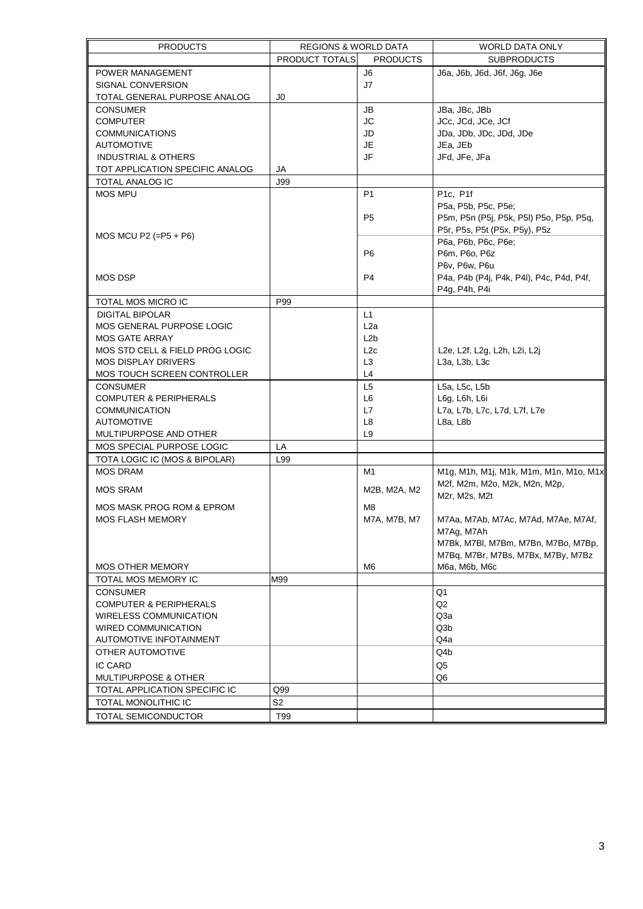| <b>PRODUCTS</b>                   | <b>REGIONS &amp; WORLD DATA</b> |                  | <b>WORLD DATA ONLY</b>                   |
|-----------------------------------|---------------------------------|------------------|------------------------------------------|
|                                   | <b>PRODUCT TOTALS</b>           | <b>PRODUCTS</b>  | <b>SUBPRODUCTS</b>                       |
| POWER MANAGEMENT                  |                                 | J6               | J6a, J6b, J6d, J6f, J6g, J6e             |
| SIGNAL CONVERSION                 |                                 | J7               |                                          |
| TOTAL GENERAL PURPOSE ANALOG      | J0                              |                  |                                          |
| <b>CONSUMER</b>                   |                                 | JB               | JBa, JBc, JBb                            |
| <b>COMPUTER</b>                   |                                 | <b>JC</b>        | JCc, JCd, JCe, JCf                       |
| <b>COMMUNICATIONS</b>             |                                 | JD               | JDa, JDb, JDc, JDd, JDe                  |
| <b>AUTOMOTIVE</b>                 |                                 | JE               | JEa, JEb                                 |
| <b>INDUSTRIAL &amp; OTHERS</b>    |                                 | JF               | JFd, JFe, JFa                            |
| TOT APPLICATION SPECIFIC ANALOG   | JA                              |                  |                                          |
| TOTAL ANALOG IC                   | <b>J99</b>                      |                  |                                          |
| <b>MOS MPU</b>                    |                                 | P <sub>1</sub>   | P1c, P1f                                 |
|                                   |                                 |                  | P5a, P5b, P5c, P5e;                      |
|                                   |                                 | P <sub>5</sub>   | P5m, P5n (P5j, P5k, P5l) P5o, P5p, P5q,  |
|                                   |                                 |                  | P5r, P5s, P5t (P5x, P5y), P5z            |
| MOS MCU P2 $(=P5 + P6)$           |                                 |                  | P6a, P6b, P6c, P6e;                      |
|                                   |                                 | P <sub>6</sub>   | P6m, P6o, P6z                            |
|                                   |                                 |                  | P6v, P6w, P6u                            |
| <b>MOS DSP</b>                    |                                 | P <sub>4</sub>   | P4a, P4b (P4j, P4k, P4l), P4c, P4d, P4f, |
|                                   |                                 |                  | P4g, P4h, P4i                            |
| TOTAL MOS MICRO IC                | P99                             |                  |                                          |
| <b>DIGITAL BIPOLAR</b>            |                                 | L1               |                                          |
| <b>MOS GENERAL PURPOSE LOGIC</b>  |                                 | L <sub>2</sub> a |                                          |
| <b>MOS GATE ARRAY</b>             |                                 | L2b              |                                          |
| MOS STD CELL & FIELD PROG LOGIC   |                                 | L2c              | L2e, L2f, L2g, L2h, L2i, L2j             |
| <b>MOS DISPLAY DRIVERS</b>        |                                 | L <sub>3</sub>   | L3a, L3b, L3c                            |
| MOS TOUCH SCREEN CONTROLLER       |                                 | L4               |                                          |
| <b>CONSUMER</b>                   |                                 | L <sub>5</sub>   | L5a, L5c, L5b                            |
| <b>COMPUTER &amp; PERIPHERALS</b> |                                 | L6               | L6g, L6h, L6i                            |
| <b>COMMUNICATION</b>              |                                 | L7               | L7a, L7b, L7c, L7d, L7f, L7e             |
| <b>AUTOMOTIVE</b>                 |                                 | L8               | L8a, L8b                                 |
| MULTIPURPOSE AND OTHER            |                                 | L9               |                                          |
| MOS SPECIAL PURPOSE LOGIC         | LA                              |                  |                                          |
| TOTA LOGIC IC (MOS & BIPOLAR)     | L99                             |                  |                                          |
| <b>MOS DRAM</b>                   |                                 | M1               | M1g, M1h, M1j, M1k, M1m, M1n, M1o, M1x   |
|                                   |                                 |                  | M2f, M2m, M2o, M2k, M2n, M2p,            |
| <b>MOS SRAM</b>                   |                                 | M2B, M2A, M2     | M2r, M2s, M2t                            |
| MOS MASK PROG ROM & EPROM         |                                 | M8               |                                          |
| MOS FLASH MEMORY                  |                                 | M7A, M7B, M7     | M7Aa, M7Ab, M7Ac, M7Ad, M7Ae, M7Af,      |
|                                   |                                 |                  | M7Ag, M7Ah                               |
|                                   |                                 |                  | M7Bk, M7Bl, M7Bm, M7Bn, M7Bo, M7Bp,      |
|                                   |                                 |                  | M7Bg, M7Br, M7Bs, M7Bx, M7By, M7Bz       |
| MOS OTHER MEMORY                  |                                 | M6               | M6a, M6b, M6c                            |
| TOTAL MOS MEMORY IC               | M99                             |                  |                                          |
| <b>CONSUMER</b>                   |                                 |                  | Q1                                       |
| <b>COMPUTER &amp; PERIPHERALS</b> |                                 |                  | Q <sub>2</sub>                           |
| <b>WIRELESS COMMUNICATION</b>     |                                 |                  | Q3a                                      |
| <b>WIRED COMMUNICATION</b>        |                                 |                  | Q3b                                      |
| AUTOMOTIVE INFOTAINMENT           |                                 |                  | Q4a                                      |
| OTHER AUTOMOTIVE                  |                                 |                  | Q4b                                      |
| <b>IC CARD</b>                    |                                 |                  | Q <sub>5</sub>                           |
| MULTIPURPOSE & OTHER              |                                 |                  | Q6                                       |
| TOTAL APPLICATION SPECIFIC IC     | Q99                             |                  |                                          |
| TOTAL MONOLITHIC IC               | S <sub>2</sub>                  |                  |                                          |
|                                   |                                 |                  |                                          |
| TOTAL SEMICONDUCTOR               | T99                             |                  |                                          |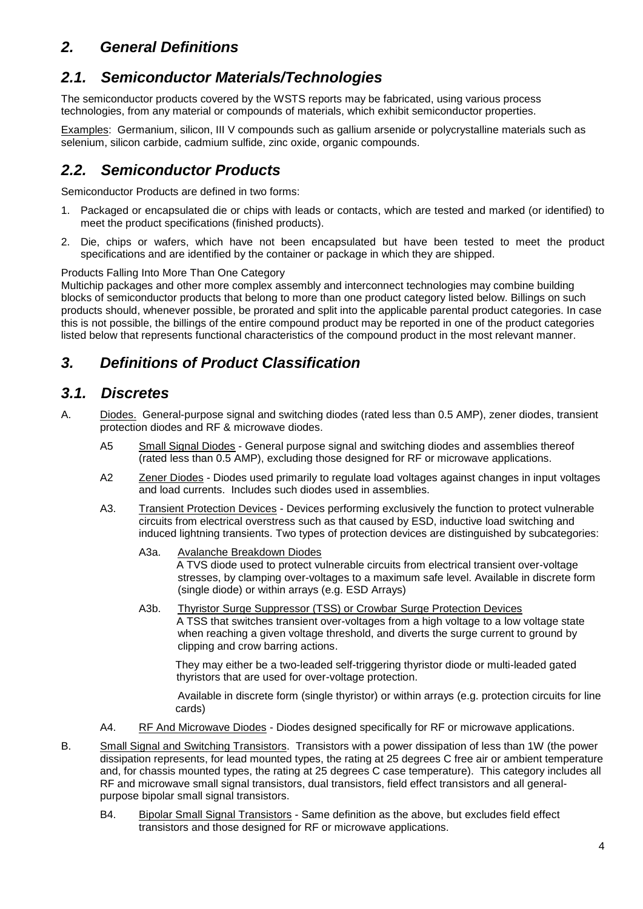# <span id="page-3-0"></span>*2. General Definitions*

# <span id="page-3-1"></span>*2.1. Semiconductor Materials/Technologies*

The semiconductor products covered by the WSTS reports may be fabricated, using various process technologies, from any material or compounds of materials, which exhibit semiconductor properties.

Examples: Germanium, silicon, III V compounds such as gallium arsenide or polycrystalline materials such as selenium, silicon carbide, cadmium sulfide, zinc oxide, organic compounds.

# <span id="page-3-2"></span>*2.2. Semiconductor Products*

Semiconductor Products are defined in two forms:

- 1. Packaged or encapsulated die or chips with leads or contacts, which are tested and marked (or identified) to meet the product specifications (finished products).
- 2. Die, chips or wafers, which have not been encapsulated but have been tested to meet the product specifications and are identified by the container or package in which they are shipped.

#### <span id="page-3-5"></span>Products Falling Into More Than One Category

Multichip packages and other more complex assembly and interconnect technologies may combine building blocks of semiconductor products that belong to more than one product category listed below. Billings on such products should, whenever possible, be prorated and split into the applicable parental product categories. In case this is not possible, the billings of the entire compound product may be reported in one of the product categories listed below that represents functional characteristics of the compound product in the most relevant manner.

# <span id="page-3-3"></span>*3. Definitions of Product Classification*

### <span id="page-3-4"></span>*3.1. Discretes*

- A. Diodes. General-purpose signal and switching diodes (rated less than 0.5 AMP), zener diodes, transient protection diodes and RF & microwave diodes.
	- A5 Small Signal Diodes General purpose signal and switching diodes and assemblies thereof (rated less than 0.5 AMP), excluding those designed for RF or microwave applications.
	- A2 Zener Diodes Diodes used primarily to regulate load voltages against changes in input voltages and load currents. Includes such diodes used in assemblies.
	- A3. Transient Protection Devices Devices performing exclusively the function to protect vulnerable circuits from electrical overstress such as that caused by ESD, inductive load switching and induced lightning transients. Two types of protection devices are distinguished by subcategories:
		- A3a. Avalanche Breakdown Diodes

A TVS diode used to protect vulnerable circuits from electrical transient over-voltage stresses, by clamping over-voltages to a maximum safe level. Available in discrete form (single diode) or within arrays (e.g. ESD Arrays)

A3b. Thyristor Surge Suppressor (TSS) or Crowbar Surge Protection Devices A TSS that switches transient over-voltages from a high voltage to a low voltage state when reaching a given voltage threshold, and diverts the surge current to ground by clipping and crow barring actions.

They may either be a two-leaded self-triggering thyristor diode or multi-leaded gated thyristors that are used for over-voltage protection.

Available in discrete form (single thyristor) or within arrays (e.g. protection circuits for line cards)

- A4. RF And Microwave Diodes Diodes designed specifically for RF or microwave applications.
- B. Small Signal and Switching Transistors. Transistors with a power dissipation of less than 1W (the power dissipation represents, for lead mounted types, the rating at 25 degrees C free air or ambient temperature and, for chassis mounted types, the rating at 25 degrees C case temperature). This category includes all RF and microwave small signal transistors, dual transistors, field effect transistors and all generalpurpose bipolar small signal transistors.
	- B4. Bipolar Small Signal Transistors Same definition as the above, but excludes field effect transistors and those designed for RF or microwave applications.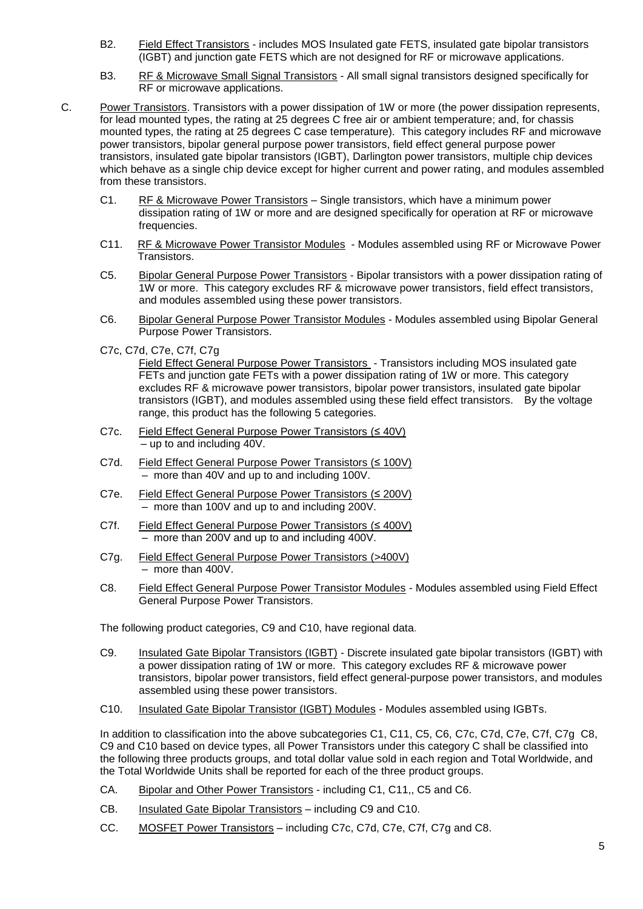- B2. Field Effect Transistors includes MOS Insulated gate FETS, insulated gate bipolar transistors (IGBT) and junction gate FETS which are not designed for RF or microwave applications.
- B3. RF & Microwave Small Signal Transistors All small signal transistors designed specifically for RF or microwave applications.
- C. Power Transistors. Transistors with a power dissipation of 1W or more (the power dissipation represents, for lead mounted types, the rating at 25 degrees C free air or ambient temperature; and, for chassis mounted types, the rating at 25 degrees C case temperature). This category includes RF and microwave power transistors, bipolar general purpose power transistors, field effect general purpose power transistors, insulated gate bipolar transistors (IGBT), Darlington power transistors, multiple chip devices which behave as a single chip device except for higher current and power rating, and modules assembled from these transistors.
	- C1. RF & Microwave Power Transistors Single transistors, which have a minimum power dissipation rating of 1W or more and are designed specifically for operation at RF or microwave frequencies.
	- C11. RF & Microwave Power Transistor Modules Modules assembled using RF or Microwave Power Transistors.
	- C5. Bipolar General Purpose Power Transistors Bipolar transistors with a power dissipation rating of 1W or more. This category excludes RF & microwave power transistors, field effect transistors, and modules assembled using these power transistors.
	- C6. Bipolar General Purpose Power Transistor Modules Modules assembled using Bipolar General Purpose Power Transistors.
	- C7c, C7d, C7e, C7f, C7g

Field Effect General Purpose Power Transistors - Transistors including MOS insulated gate FETs and junction gate FETs with a power dissipation rating of 1W or more. This category excludes RF & microwave power transistors, bipolar power transistors, insulated gate bipolar transistors (IGBT), and modules assembled using these field effect transistors. By the voltage range, this product has the following 5 categories.

- C7c. Field Effect General Purpose Power Transistors (≤ 40V) – up to and including 40V.
- C7d. Field Effect General Purpose Power Transistors (≤ 100V) – more than 40V and up to and including 100V.
- C7e. Field Effect General Purpose Power Transistors (≤ 200V) – more than 100V and up to and including 200V.
- C7f. Field Effect General Purpose Power Transistors (≤ 400V) – more than 200V and up to and including 400V.
- C7g. Field Effect General Purpose Power Transistors (>400V) – more than 400V.
- C8. Field Effect General Purpose Power Transistor Modules Modules assembled using Field Effect General Purpose Power Transistors.

The following product categories, C9 and C10, have regional data.

- C9. Insulated Gate Bipolar Transistors (IGBT) Discrete insulated gate bipolar transistors (IGBT) with a power dissipation rating of 1W or more. This category excludes RF & microwave power transistors, bipolar power transistors, field effect general-purpose power transistors, and modules assembled using these power transistors.
- C10. Insulated Gate Bipolar Transistor (IGBT) Modules Modules assembled using IGBTs.

In addition to classification into the above subcategories C1, C11, C5, C6, C7c, C7d, C7e, C7f, C7g C8, C9 and C10 based on device types, all Power Transistors under this category C shall be classified into the following three products groups, and total dollar value sold in each region and Total Worldwide, and the Total Worldwide Units shall be reported for each of the three product groups.

- CA. Bipolar and Other Power Transistors including C1, C11,, C5 and C6.
- CB. Insulated Gate Bipolar Transistors including C9 and C10.
- CC. MOSFET Power Transistors including C7c, C7d, C7e, C7f, C7g and C8.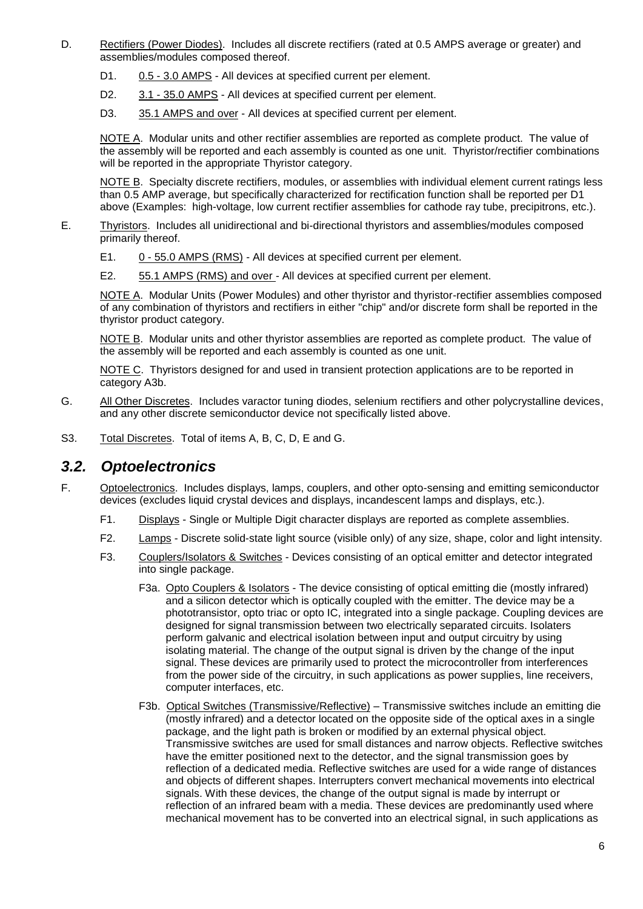- D. Rectifiers (Power Diodes). Includes all discrete rectifiers (rated at 0.5 AMPS average or greater) and assemblies/modules composed thereof.
	- D1. 0.5 3.0 AMPS All devices at specified current per element.
	- D2. 3.1 35.0 AMPS All devices at specified current per element.
	- D3. 35.1 AMPS and over All devices at specified current per element.

NOTE A. Modular units and other rectifier assemblies are reported as complete product. The value of the assembly will be reported and each assembly is counted as one unit. Thyristor/rectifier combinations will be reported in the appropriate Thyristor category.

NOTE B. Specialty discrete rectifiers, modules, or assemblies with individual element current ratings less than 0.5 AMP average, but specifically characterized for rectification function shall be reported per D1 above (Examples: high-voltage, low current rectifier assemblies for cathode ray tube, precipitrons, etc.).

- E. Thyristors. Includes all unidirectional and bi-directional thyristors and assemblies/modules composed primarily thereof.
	- E1. 0 55.0 AMPS (RMS) All devices at specified current per element.
	- E2. 55.1 AMPS (RMS) and over All devices at specified current per element.

NOTE A. Modular Units (Power Modules) and other thyristor and thyristor-rectifier assemblies composed of any combination of thyristors and rectifiers in either "chip" and/or discrete form shall be reported in the thyristor product category.

NOTE B. Modular units and other thyristor assemblies are reported as complete product. The value of the assembly will be reported and each assembly is counted as one unit.

NOTE C. Thyristors designed for and used in transient protection applications are to be reported in category A3b.

- G. All Other Discretes. Includes varactor tuning diodes, selenium rectifiers and other polycrystalline devices, and any other discrete semiconductor device not specifically listed above.
- S3. Total Discretes. Total of items A, B, C, D, E and G.

### <span id="page-5-0"></span>*3.2. Optoelectronics*

- F. Optoelectronics. Includes displays, lamps, couplers, and other opto-sensing and emitting semiconductor devices (excludes liquid crystal devices and displays, incandescent lamps and displays, etc.).
	- F1. Displays Single or Multiple Digit character displays are reported as complete assemblies.
	- F2. Lamps Discrete solid-state light source (visible only) of any size, shape, color and light intensity.
	- F3. Couplers/Isolators & Switches Devices consisting of an optical emitter and detector integrated into single package.
		- F3a. Opto Couplers & Isolators The device consisting of optical emitting die (mostly infrared) and a silicon detector which is optically coupled with the emitter. The device may be a phototransistor, opto triac or opto IC, integrated into a single package. Coupling devices are designed for signal transmission between two electrically separated circuits. Isolaters perform galvanic and electrical isolation between input and output circuitry by using isolating material. The change of the output signal is driven by the change of the input signal. These devices are primarily used to protect the microcontroller from interferences from the power side of the circuitry, in such applications as power supplies, line receivers, computer interfaces, etc.
		- F3b. Optical Switches (Transmissive/Reflective) Transmissive switches include an emitting die (mostly infrared) and a detector located on the opposite side of the optical axes in a single package, and the light path is broken or modified by an external physical object. Transmissive switches are used for small distances and narrow objects. Reflective switches have the emitter positioned next to the detector, and the signal transmission goes by reflection of a dedicated media. Reflective switches are used for a wide range of distances and objects of different shapes. Interrupters convert mechanical movements into electrical signals. With these devices, the change of the output signal is made by interrupt or reflection of an infrared beam with a media. These devices are predominantly used where mechanical movement has to be converted into an electrical signal, in such applications as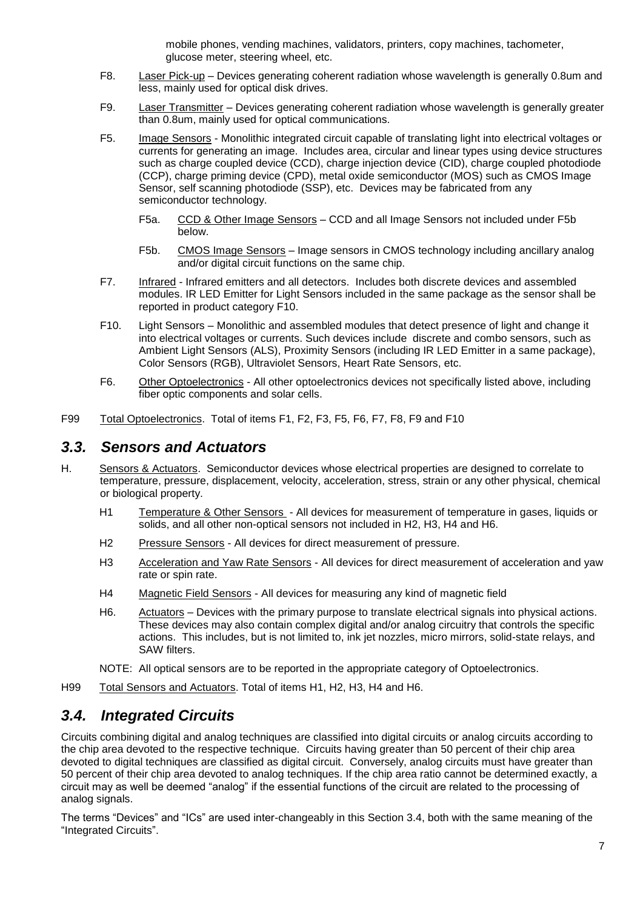mobile phones, vending machines, validators, printers, copy machines, tachometer, glucose meter, steering wheel, etc.

- F8. Laser Pick-up Devices generating coherent radiation whose wavelength is generally 0.8um and less, mainly used for optical disk drives.
- F9. Laser Transmitter Devices generating coherent radiation whose wavelength is generally greater than 0.8um, mainly used for optical communications.
- F5. Image Sensors Monolithic integrated circuit capable of translating light into electrical voltages or currents for generating an image. Includes area, circular and linear types using device structures such as charge coupled device (CCD), charge injection device (CID), charge coupled photodiode (CCP), charge priming device (CPD), metal oxide semiconductor (MOS) such as CMOS Image Sensor, self scanning photodiode (SSP), etc. Devices may be fabricated from any semiconductor technology.
	- F5a. CCD & Other Image Sensors CCD and all Image Sensors not included under F5b below.
	- F5b. CMOS Image Sensors Image sensors in CMOS technology including ancillary analog and/or digital circuit functions on the same chip.
- F7. Infrared Infrared emitters and all detectors. Includes both discrete devices and assembled modules. IR LED Emitter for Light Sensors included in the same package as the sensor shall be reported in product category F10.
- F10. Light Sensors Monolithic and assembled modules that detect presence of light and change it into electrical voltages or currents. Such devices include discrete and combo sensors, such as Ambient Light Sensors (ALS), Proximity Sensors (including IR LED Emitter in a same package), Color Sensors (RGB), Ultraviolet Sensors, Heart Rate Sensors, etc.
- F6. Other Optoelectronics All other optoelectronics devices not specifically listed above, including fiber optic components and solar cells.
- F99 Total Optoelectronics. Total of items F1, F2, F3, F5, F6, F7, F8, F9 and F10

### <span id="page-6-0"></span>*3.3. Sensors and Actuators*

- H. Sensors & Actuators. Semiconductor devices whose electrical properties are designed to correlate to temperature, pressure, displacement, velocity, acceleration, stress, strain or any other physical, chemical or biological property.
	- H1 Temperature & Other Sensors All devices for measurement of temperature in gases, liquids or solids, and all other non-optical sensors not included in H2, H3, H4 and H6.
	- H2 Pressure Sensors All devices for direct measurement of pressure.
	- H3 Acceleration and Yaw Rate Sensors All devices for direct measurement of acceleration and yaw rate or spin rate.
	- H4 Magnetic Field Sensors All devices for measuring any kind of magnetic field
	- H6. Actuators Devices with the primary purpose to translate electrical signals into physical actions. These devices may also contain complex digital and/or analog circuitry that controls the specific actions. This includes, but is not limited to, ink jet nozzles, micro mirrors, solid-state relays, and SAW filters.
	- NOTE: All optical sensors are to be reported in the appropriate category of Optoelectronics.

H99 Total Sensors and Actuators. Total of items H1, H2, H3, H4 and H6.

### <span id="page-6-1"></span>*3.4. Integrated Circuits*

Circuits combining digital and analog techniques are classified into digital circuits or analog circuits according to the chip area devoted to the respective technique. Circuits having greater than 50 percent of their chip area devoted to digital techniques are classified as digital circuit. Conversely, analog circuits must have greater than 50 percent of their chip area devoted to analog techniques. If the chip area ratio cannot be determined exactly, a circuit may as well be deemed "analog" if the essential functions of the circuit are related to the processing of analog signals.

The terms "Devices" and "ICs" are used inter-changeably in this Section [3.4,](#page-6-1) both with the same meaning of the "Integrated Circuits".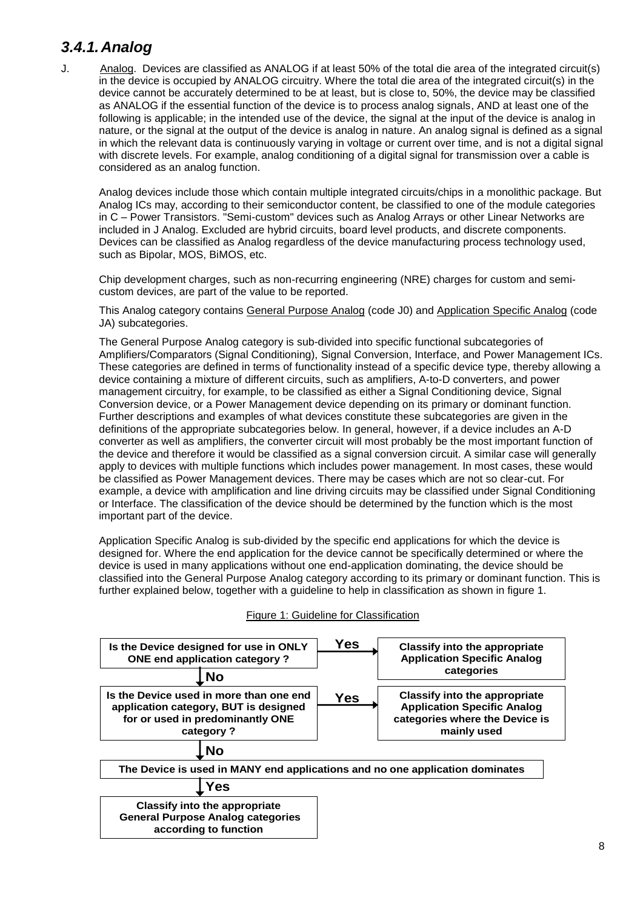# <span id="page-7-0"></span>*3.4.1.Analog*

J. Analog. Devices are classified as ANALOG if at least 50% of the total die area of the integrated circuit(s) in the device is occupied by ANALOG circuitry. Where the total die area of the integrated circuit(s) in the device cannot be accurately determined to be at least, but is close to, 50%, the device may be classified as ANALOG if the essential function of the device is to process analog signals, AND at least one of the following is applicable; in the intended use of the device, the signal at the input of the device is analog in nature, or the signal at the output of the device is analog in nature. An analog signal is defined as a signal in which the relevant data is continuously varying in voltage or current over time, and is not a digital signal with discrete levels. For example, analog conditioning of a digital signal for transmission over a cable is considered as an analog function.

Analog devices include those which contain multiple integrated circuits/chips in a monolithic package. But Analog ICs may, according to their semiconductor content, be classified to one of the module categories in C – Power Transistors. "Semi-custom" devices such as Analog Arrays or other Linear Networks are included in J Analog. Excluded are hybrid circuits, board level products, and discrete components. Devices can be classified as Analog regardless of the device manufacturing process technology used, such as Bipolar, MOS, BiMOS, etc.

Chip development charges, such as non-recurring engineering (NRE) charges for custom and semicustom devices, are part of the value to be reported.

This Analog category contains General Purpose Analog (code J0) and Application Specific Analog (code JA) subcategories.

The General Purpose Analog category is sub-divided into specific functional subcategories of Amplifiers/Comparators (Signal Conditioning), Signal Conversion, Interface, and Power Management ICs. These categories are defined in terms of functionality instead of a specific device type, thereby allowing a device containing a mixture of different circuits, such as amplifiers, A-to-D converters, and power management circuitry, for example, to be classified as either a Signal Conditioning device, Signal Conversion device, or a Power Management device depending on its primary or dominant function. Further descriptions and examples of what devices constitute these subcategories are given in the definitions of the appropriate subcategories below. In general, however, if a device includes an A-D converter as well as amplifiers, the converter circuit will most probably be the most important function of the device and therefore it would be classified as a signal conversion circuit. A similar case will generally apply to devices with multiple functions which includes power management. In most cases, these would be classified as Power Management devices. There may be cases which are not so clear-cut. For example, a device with amplification and line driving circuits may be classified under Signal Conditioning or Interface. The classification of the device should be determined by the function which is the most important part of the device.

Application Specific Analog is sub-divided by the specific end applications for which the device is designed for. Where the end application for the device cannot be specifically determined or where the device is used in many applications without one end-application dominating, the device should be classified into the General Purpose Analog category according to its primary or dominant function. This is further explained below, together with a guideline to help in classification as shown in figure 1.



#### Figure 1: Guideline for Classification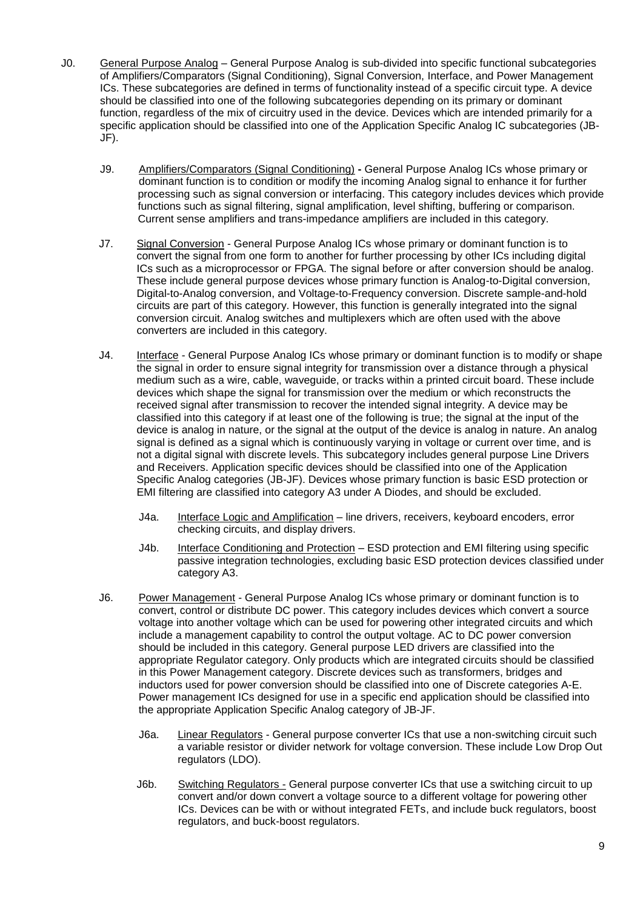- J0. General Purpose Analog General Purpose Analog is sub-divided into specific functional subcategories of Amplifiers/Comparators (Signal Conditioning), Signal Conversion, Interface, and Power Management ICs. These subcategories are defined in terms of functionality instead of a specific circuit type. A device should be classified into one of the following subcategories depending on its primary or dominant function, regardless of the mix of circuitry used in the device. Devices which are intended primarily for a specific application should be classified into one of the Application Specific Analog IC subcategories (JB-JF).
	- J9. Amplifiers/Comparators (Signal Conditioning) **-** General Purpose Analog ICs whose primary or dominant function is to condition or modify the incoming Analog signal to enhance it for further processing such as signal conversion or interfacing. This category includes devices which provide functions such as signal filtering, signal amplification, level shifting, buffering or comparison. Current sense amplifiers and trans-impedance amplifiers are included in this category.
	- J7. Signal Conversion General Purpose Analog ICs whose primary or dominant function is to convert the signal from one form to another for further processing by other ICs including digital ICs such as a microprocessor or FPGA. The signal before or after conversion should be analog. These include general purpose devices whose primary function is Analog-to-Digital conversion, Digital-to-Analog conversion, and Voltage-to-Frequency conversion. Discrete sample-and-hold circuits are part of this category. However, this function is generally integrated into the signal conversion circuit. Analog switches and multiplexers which are often used with the above converters are included in this category.
	- J4. Interface General Purpose Analog ICs whose primary or dominant function is to modify or shape the signal in order to ensure signal integrity for transmission over a distance through a physical medium such as a wire, cable, waveguide, or tracks within a printed circuit board. These include devices which shape the signal for transmission over the medium or which reconstructs the received signal after transmission to recover the intended signal integrity. A device may be classified into this category if at least one of the following is true; the signal at the input of the device is analog in nature, or the signal at the output of the device is analog in nature. An analog signal is defined as a signal which is continuously varying in voltage or current over time, and is not a digital signal with discrete levels. This subcategory includes general purpose Line Drivers and Receivers. Application specific devices should be classified into one of the Application Specific Analog categories (JB-JF). Devices whose primary function is basic ESD protection or EMI filtering are classified into category A3 under A Diodes, and should be excluded.
		- J4a. Interface Logic and Amplification line drivers, receivers, keyboard encoders, error checking circuits, and display drivers.
		- J4b. Interface Conditioning and Protection ESD protection and EMI filtering using specific passive integration technologies, excluding basic ESD protection devices classified under category A3.
	- J6. Power Management General Purpose Analog ICs whose primary or dominant function is to convert, control or distribute DC power. This category includes devices which convert a source voltage into another voltage which can be used for powering other integrated circuits and which include a management capability to control the output voltage. AC to DC power conversion should be included in this category. General purpose LED drivers are classified into the appropriate Regulator category. Only products which are integrated circuits should be classified in this Power Management category. Discrete devices such as transformers, bridges and inductors used for power conversion should be classified into one of Discrete categories A-E. Power management ICs designed for use in a specific end application should be classified into the appropriate Application Specific Analog category of JB-JF.
		- J6a. Linear Regulators General purpose converter ICs that use a non-switching circuit such a variable resistor or divider network for voltage conversion. These include Low Drop Out regulators (LDO).
		- J6b. Switching Regulators General purpose converter ICs that use a switching circuit to up convert and/or down convert a voltage source to a different voltage for powering other ICs. Devices can be with or without integrated FETs, and include buck regulators, boost regulators, and buck-boost regulators.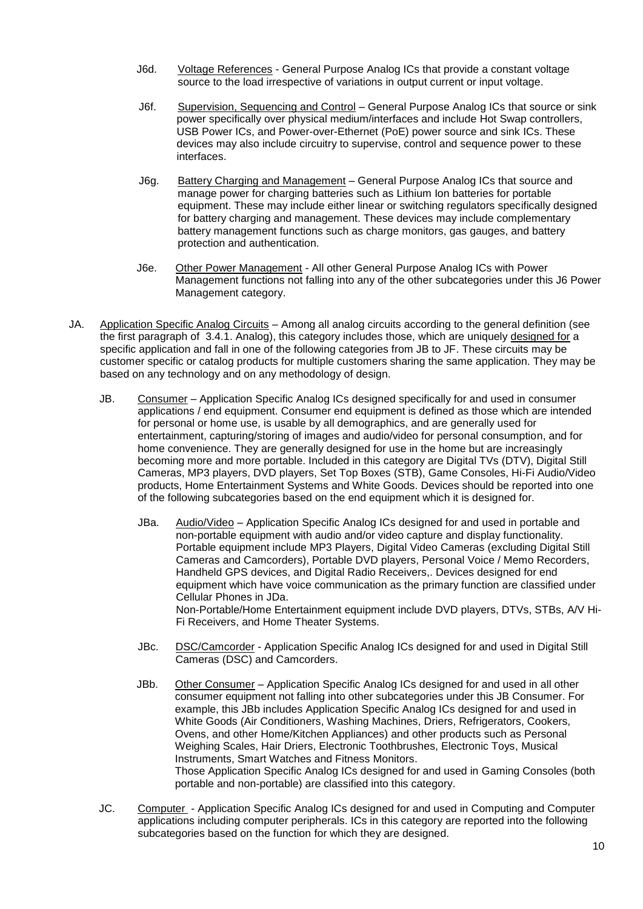- J6d. Voltage References General Purpose Analog ICs that provide a constant voltage source to the load irrespective of variations in output current or input voltage.
- J6f. Supervision, Sequencing and Control General Purpose Analog ICs that source or sink power specifically over physical medium/interfaces and include Hot Swap controllers, USB Power ICs, and Power-over-Ethernet (PoE) power source and sink ICs. These devices may also include circuitry to supervise, control and sequence power to these interfaces.
- J6g. Battery Charging and Management General Purpose Analog ICs that source and manage power for charging batteries such as Lithium Ion batteries for portable equipment. These may include either linear or switching regulators specifically designed for battery charging and management. These devices may include complementary battery management functions such as charge monitors, gas gauges, and battery protection and authentication.
- J6e. Other Power Management All other General Purpose Analog ICs with Power Management functions not falling into any of the other subcategories under this J6 Power Management category.
- JA. Application Specific Analog Circuits Among all analog circuits according to the general definition (see the first paragraph of 3.4.1. Analog), this category includes those, which are uniquely designed for a specific application and fall in one of the following categories from JB to JF. These circuits may be customer specific or catalog products for multiple customers sharing the same application. They may be based on any technology and on any methodology of design.
	- JB. Consumer Application Specific Analog ICs designed specifically for and used in consumer applications / end equipment. Consumer end equipment is defined as those which are intended for personal or home use, is usable by all demographics, and are generally used for entertainment, capturing/storing of images and audio/video for personal consumption, and for home convenience. They are generally designed for use in the home but are increasingly becoming more and more portable. Included in this category are Digital TVs (DTV), Digital Still Cameras, MP3 players, DVD players, Set Top Boxes (STB), Game Consoles, Hi-Fi Audio/Video products, Home Entertainment Systems and White Goods. Devices should be reported into one of the following subcategories based on the end equipment which it is designed for.
		- JBa. Audio/Video Application Specific Analog ICs designed for and used in portable and non-portable equipment with audio and/or video capture and display functionality. Portable equipment include MP3 Players, Digital Video Cameras (excluding Digital Still Cameras and Camcorders), Portable DVD players, Personal Voice / Memo Recorders, Handheld GPS devices, and Digital Radio Receivers,. Devices designed for end equipment which have voice communication as the primary function are classified under Cellular Phones in JDa. Non-Portable/Home Entertainment equipment include DVD players, DTVs, STBs, A/V Hi-Fi Receivers, and Home Theater Systems.
		- JBc. DSC/Camcorder Application Specific Analog ICs designed for and used in Digital Still Cameras (DSC) and Camcorders.
		- JBb. Other Consumer Application Specific Analog ICs designed for and used in all other consumer equipment not falling into other subcategories under this JB Consumer. For example, this JBb includes Application Specific Analog ICs designed for and used in White Goods (Air Conditioners, Washing Machines, Driers, Refrigerators, Cookers, Ovens, and other Home/Kitchen Appliances) and other products such as Personal Weighing Scales, Hair Driers, Electronic Toothbrushes, Electronic Toys, Musical Instruments, Smart Watches and Fitness Monitors. Those Application Specific Analog ICs designed for and used in Gaming Consoles (both portable and non-portable) are classified into this category.
	- JC. Computer Application Specific Analog ICs designed for and used in Computing and Computer applications including computer peripherals. ICs in this category are reported into the following subcategories based on the function for which they are designed.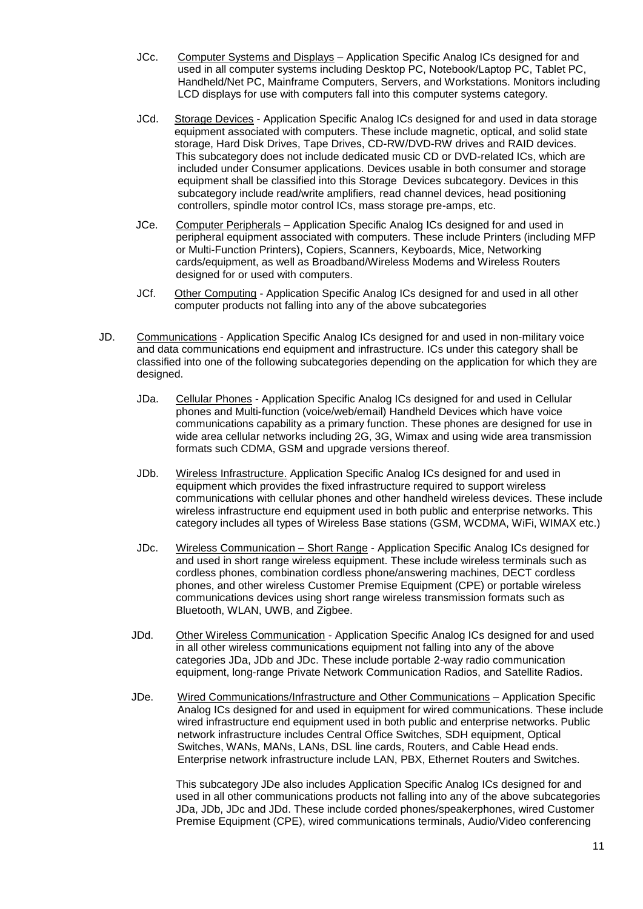- JCc. Computer Systems and Displays Application Specific Analog ICs designed for and used in all computer systems including Desktop PC, Notebook/Laptop PC, Tablet PC, Handheld/Net PC, Mainframe Computers, Servers, and Workstations. Monitors including LCD displays for use with computers fall into this computer systems category.
- JCd. Storage Devices Application Specific Analog ICs designed for and used in data storage equipment associated with computers. These include magnetic, optical, and solid state storage, Hard Disk Drives, Tape Drives, CD-RW/DVD-RW drives and RAID devices. This subcategory does not include dedicated music CD or DVD-related ICs, which are included under Consumer applications. Devices usable in both consumer and storage equipment shall be classified into this Storage Devices subcategory. Devices in this subcategory include read/write amplifiers, read channel devices, head positioning controllers, spindle motor control ICs, mass storage pre-amps, etc.
- JCe. Computer Peripherals Application Specific Analog ICs designed for and used in peripheral equipment associated with computers. These include Printers (including MFP or Multi-Function Printers), Copiers, Scanners, Keyboards, Mice, Networking cards/equipment, as well as Broadband/Wireless Modems and Wireless Routers designed for or used with computers.
- JCf. Other Computing Application Specific Analog ICs designed for and used in all other computer products not falling into any of the above subcategories
- JD. Communications Application Specific Analog ICs designed for and used in non-military voice and data communications end equipment and infrastructure. ICs under this category shall be classified into one of the following subcategories depending on the application for which they are designed.
	- JDa. Cellular Phones Application Specific Analog ICs designed for and used in Cellular phones and Multi-function (voice/web/email) Handheld Devices which have voice communications capability as a primary function. These phones are designed for use in wide area cellular networks including 2G, 3G, Wimax and using wide area transmission formats such CDMA, GSM and upgrade versions thereof.
	- JDb. Wireless Infrastructure. Application Specific Analog ICs designed for and used in equipment which provides the fixed infrastructure required to support wireless communications with cellular phones and other handheld wireless devices. These include wireless infrastructure end equipment used in both public and enterprise networks. This category includes all types of Wireless Base stations (GSM, WCDMA, WiFi, WIMAX etc.)
	- JDc. Wireless Communication Short Range Application Specific Analog ICs designed for and used in short range wireless equipment. These include wireless terminals such as cordless phones, combination cordless phone/answering machines, DECT cordless phones, and other wireless Customer Premise Equipment (CPE) or portable wireless communications devices using short range wireless transmission formats such as Bluetooth, WLAN, UWB, and Zigbee.
	- JDd. Other Wireless Communication Application Specific Analog ICs designed for and used in all other wireless communications equipment not falling into any of the above categories JDa, JDb and JDc. These include portable 2-way radio communication equipment, long-range Private Network Communication Radios, and Satellite Radios.
	- JDe. Wired Communications/Infrastructure and Other Communications Application Specific Analog ICs designed for and used in equipment for wired communications. These include wired infrastructure end equipment used in both public and enterprise networks. Public network infrastructure includes Central Office Switches, SDH equipment, Optical Switches, WANs, MANs, LANs, DSL line cards, Routers, and Cable Head ends. Enterprise network infrastructure include LAN, PBX, Ethernet Routers and Switches.

This subcategory JDe also includes Application Specific Analog ICs designed for and used in all other communications products not falling into any of the above subcategories JDa, JDb, JDc and JDd. These include corded phones/speakerphones, wired Customer Premise Equipment (CPE), wired communications terminals, Audio/Video conferencing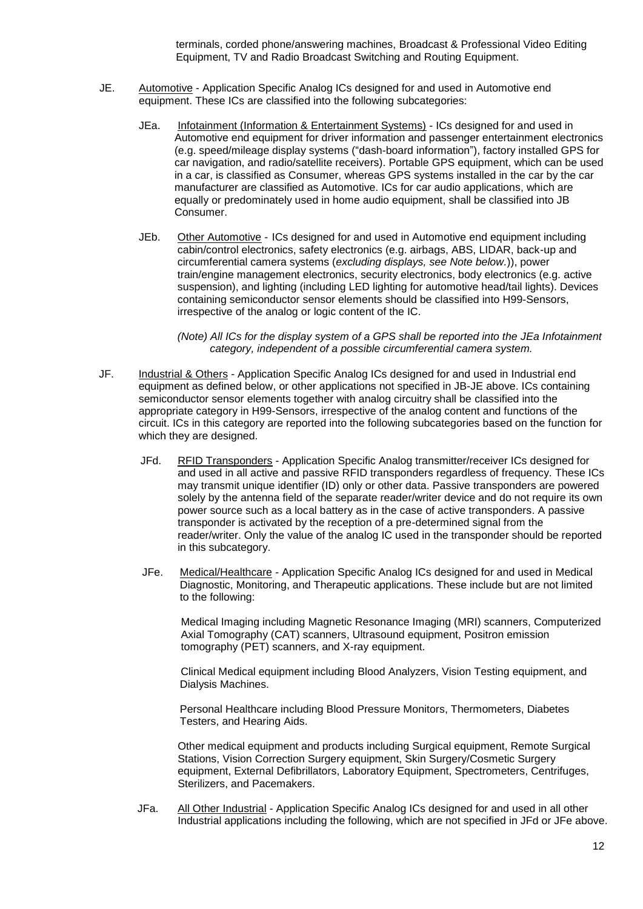terminals, corded phone/answering machines, Broadcast & Professional Video Editing Equipment, TV and Radio Broadcast Switching and Routing Equipment.

- JE. Automotive Application Specific Analog ICs designed for and used in Automotive end equipment. These ICs are classified into the following subcategories:
	- JEa. Infotainment (Information & Entertainment Systems) ICs designed for and used in Automotive end equipment for driver information and passenger entertainment electronics (e.g. speed/mileage display systems ("dash-board information"), factory installed GPS for car navigation, and radio/satellite receivers). Portable GPS equipment, which can be used in a car, is classified as Consumer, whereas GPS systems installed in the car by the car manufacturer are classified as Automotive. ICs for car audio applications, which are equally or predominately used in home audio equipment, shall be classified into JB Consumer.
	- JEb. Other Automotive ICs designed for and used in Automotive end equipment including cabin/control electronics, safety electronics (e.g. airbags, ABS, LIDAR, back-up and circumferential camera systems (*excluding displays, see Note below.*)), power train/engine management electronics, security electronics, body electronics (e.g. active suspension), and lighting (including LED lighting for automotive head/tail lights). Devices containing semiconductor sensor elements should be classified into H99-Sensors, irrespective of the analog or logic content of the IC.

*(Note) All ICs for the display system of a GPS shall be reported into the JEa Infotainment category, independent of a possible circumferential camera system.*

- JF. Industrial & Others Application Specific Analog ICs designed for and used in Industrial end equipment as defined below, or other applications not specified in JB-JE above. ICs containing semiconductor sensor elements together with analog circuitry shall be classified into the appropriate category in H99-Sensors, irrespective of the analog content and functions of the circuit. ICs in this category are reported into the following subcategories based on the function for which they are designed.
	- JFd. RFID Transponders Application Specific Analog transmitter/receiver ICs designed for and used in all active and passive RFID transponders regardless of frequency. These ICs may transmit unique identifier (ID) only or other data. Passive transponders are powered solely by the antenna field of the separate reader/writer device and do not require its own power source such as a local battery as in the case of active transponders. A passive transponder is activated by the reception of a pre-determined signal from the reader/writer. Only the value of the analog IC used in the transponder should be reported in this subcategory.
	- JFe. Medical/Healthcare Application Specific Analog ICs designed for and used in Medical Diagnostic, Monitoring, and Therapeutic applications. These include but are not limited to the following:

Medical Imaging including Magnetic Resonance Imaging (MRI) scanners, Computerized Axial Tomography (CAT) scanners, Ultrasound equipment, Positron emission tomography (PET) scanners, and X-ray equipment.

Clinical Medical equipment including Blood Analyzers, Vision Testing equipment, and Dialysis Machines.

Personal Healthcare including Blood Pressure Monitors, Thermometers, Diabetes Testers, and Hearing Aids.

Other medical equipment and products including Surgical equipment, Remote Surgical Stations, Vision Correction Surgery equipment, Skin Surgery/Cosmetic Surgery equipment, External Defibrillators, Laboratory Equipment, Spectrometers, Centrifuges, Sterilizers, and Pacemakers.

JFa. All Other Industrial - Application Specific Analog ICs designed for and used in all other Industrial applications including the following, which are not specified in JFd or JFe above.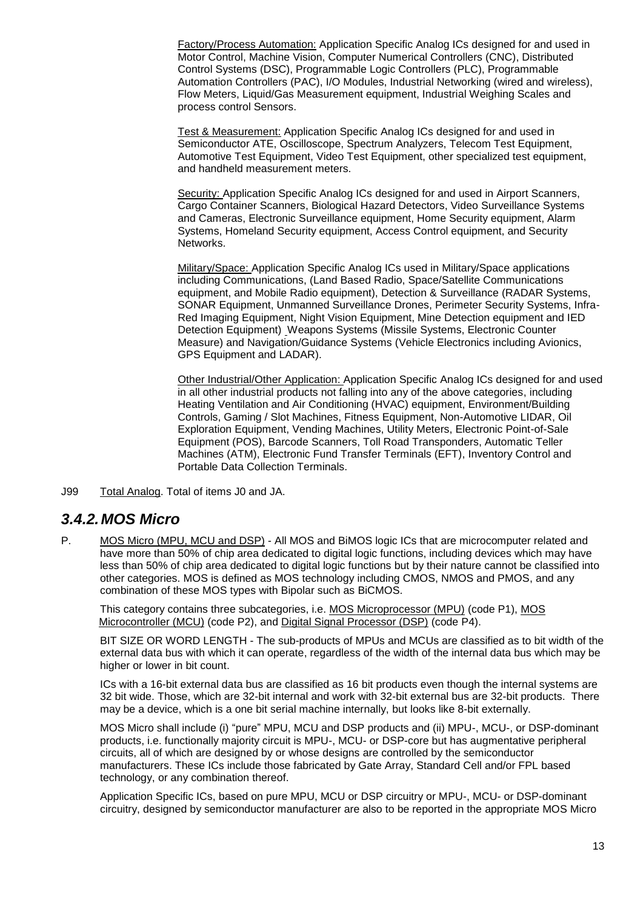Factory/Process Automation: Application Specific Analog ICs designed for and used in Motor Control, Machine Vision, Computer Numerical Controllers (CNC), Distributed Control Systems (DSC), Programmable Logic Controllers (PLC), Programmable Automation Controllers (PAC), I/O Modules, Industrial Networking (wired and wireless), Flow Meters, Liquid/Gas Measurement equipment, Industrial Weighing Scales and process control Sensors.

Test & Measurement: Application Specific Analog ICs designed for and used in Semiconductor ATE, Oscilloscope, Spectrum Analyzers, Telecom Test Equipment, Automotive Test Equipment, Video Test Equipment, other specialized test equipment, and handheld measurement meters.

Security: Application Specific Analog ICs designed for and used in Airport Scanners, Cargo Container Scanners, Biological Hazard Detectors, Video Surveillance Systems and Cameras, Electronic Surveillance equipment, Home Security equipment, Alarm Systems, Homeland Security equipment, Access Control equipment, and Security Networks.

Military/Space: Application Specific Analog ICs used in Military/Space applications including Communications, (Land Based Radio, Space/Satellite Communications equipment, and Mobile Radio equipment), Detection & Surveillance (RADAR Systems, SONAR Equipment, Unmanned Surveillance Drones, Perimeter Security Systems, Infra-Red Imaging Equipment, Night Vision Equipment, Mine Detection equipment and IED Detection Equipment) Weapons Systems (Missile Systems, Electronic Counter Measure) and Navigation/Guidance Systems (Vehicle Electronics including Avionics, GPS Equipment and LADAR).

Other Industrial/Other Application: Application Specific Analog ICs designed for and used in all other industrial products not falling into any of the above categories, including Heating Ventilation and Air Conditioning (HVAC) equipment, Environment/Building Controls, Gaming / Slot Machines, Fitness Equipment, Non-Automotive LIDAR, Oil Exploration Equipment, Vending Machines, Utility Meters, Electronic Point-of-Sale Equipment (POS), Barcode Scanners, Toll Road Transponders, Automatic Teller Machines (ATM), Electronic Fund Transfer Terminals (EFT), Inventory Control and Portable Data Collection Terminals.

J99 Total Analog. Total of items J0 and JA.

### <span id="page-12-0"></span>*3.4.2.MOS Micro*

P. MOS Micro (MPU, MCU and DSP) - All MOS and BiMOS logic ICs that are microcomputer related and have more than 50% of chip area dedicated to digital logic functions, including devices which may have less than 50% of chip area dedicated to digital logic functions but by their nature cannot be classified into other categories. MOS is defined as MOS technology including CMOS, NMOS and PMOS, and any combination of these MOS types with Bipolar such as BiCMOS.

This category contains three subcategories, i.e. MOS Microprocessor (MPU) (code P1), MOS Microcontroller (MCU) (code P2), and Digital Signal Processor (DSP) (code P4).

BIT SIZE OR WORD LENGTH - The sub-products of MPUs and MCUs are classified as to bit width of the external data bus with which it can operate, regardless of the width of the internal data bus which may be higher or lower in bit count.

ICs with a 16-bit external data bus are classified as 16 bit products even though the internal systems are 32 bit wide. Those, which are 32-bit internal and work with 32-bit external bus are 32-bit products. There may be a device, which is a one bit serial machine internally, but looks like 8-bit externally.

MOS Micro shall include (i) "pure" MPU, MCU and DSP products and (ii) MPU-, MCU-, or DSP-dominant products, i.e. functionally majority circuit is MPU-, MCU- or DSP-core but has augmentative peripheral circuits, all of which are designed by or whose designs are controlled by the semiconductor manufacturers. These ICs include those fabricated by Gate Array, Standard Cell and/or FPL based technology, or any combination thereof.

Application Specific ICs, based on pure MPU, MCU or DSP circuitry or MPU-, MCU- or DSP-dominant circuitry, designed by semiconductor manufacturer are also to be reported in the appropriate MOS Micro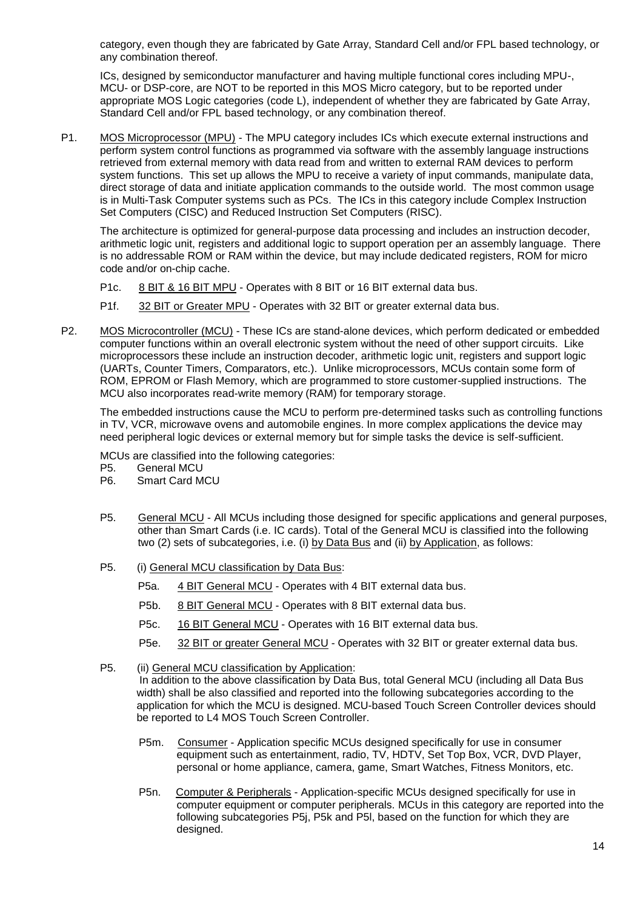category, even though they are fabricated by Gate Array, Standard Cell and/or FPL based technology, or any combination thereof.

ICs, designed by semiconductor manufacturer and having multiple functional cores including MPU-, MCU- or DSP-core, are NOT to be reported in this MOS Micro category, but to be reported under appropriate MOS Logic categories (code L), independent of whether they are fabricated by Gate Array, Standard Cell and/or FPL based technology, or any combination thereof.

P1. MOS Microprocessor (MPU) - The MPU category includes ICs which execute external instructions and perform system control functions as programmed via software with the assembly language instructions retrieved from external memory with data read from and written to external RAM devices to perform system functions. This set up allows the MPU to receive a variety of input commands, manipulate data, direct storage of data and initiate application commands to the outside world. The most common usage is in Multi-Task Computer systems such as PCs. The ICs in this category include Complex Instruction Set Computers (CISC) and Reduced Instruction Set Computers (RISC).

The architecture is optimized for general-purpose data processing and includes an instruction decoder, arithmetic logic unit, registers and additional logic to support operation per an assembly language. There is no addressable ROM or RAM within the device, but may include dedicated registers, ROM for micro code and/or on-chip cache.

P1c. 8 BIT & 16 BIT MPU - Operates with 8 BIT or 16 BIT external data bus.

P1f. 32 BIT or Greater MPU - Operates with 32 BIT or greater external data bus.

P2. MOS Microcontroller (MCU) - These ICs are stand-alone devices, which perform dedicated or embedded computer functions within an overall electronic system without the need of other support circuits. Like microprocessors these include an instruction decoder, arithmetic logic unit, registers and support logic (UARTs, Counter Timers, Comparators, etc.). Unlike microprocessors, MCUs contain some form of ROM, EPROM or Flash Memory, which are programmed to store customer-supplied instructions. The MCU also incorporates read-write memory (RAM) for temporary storage.

The embedded instructions cause the MCU to perform pre-determined tasks such as controlling functions in TV, VCR, microwave ovens and automobile engines. In more complex applications the device may need peripheral logic devices or external memory but for simple tasks the device is self-sufficient.

MCUs are classified into the following categories:<br>P5. General MCU

**General MCU** 

- P6. Smart Card MCU
- P5. General MCU All MCUs including those designed for specific applications and general purposes, other than Smart Cards (i.e. IC cards). Total of the General MCU is classified into the following two (2) sets of subcategories, i.e. (i) by Data Bus and (ii) by Application, as follows:
- P5. (i) General MCU classification by Data Bus:
	- P5a. 4 BIT General MCU Operates with 4 BIT external data bus.
	- P5b. 8 BIT General MCU Operates with 8 BIT external data bus.
	- P5c. 16 BIT General MCU Operates with 16 BIT external data bus.
	- P5e. 32 BIT or greater General MCU Operates with 32 BIT or greater external data bus.
- P5. (ii) General MCU classification by Application: In addition to the above classification by Data Bus, total General MCU (including all Data Bus width) shall be also classified and reported into the following subcategories according to the application for which the MCU is designed. MCU-based Touch Screen Controller devices should be reported to L4 MOS Touch Screen Controller.
	- P5m. Consumer Application specific MCUs designed specifically for use in consumer equipment such as entertainment, radio, TV, HDTV, Set Top Box, VCR, DVD Player, personal or home appliance, camera, game, Smart Watches, Fitness Monitors, etc.
	- P5n. Computer & Peripherals Application-specific MCUs designed specifically for use in computer equipment or computer peripherals. MCUs in this category are reported into the following subcategories P5j, P5k and P5l, based on the function for which they are designed.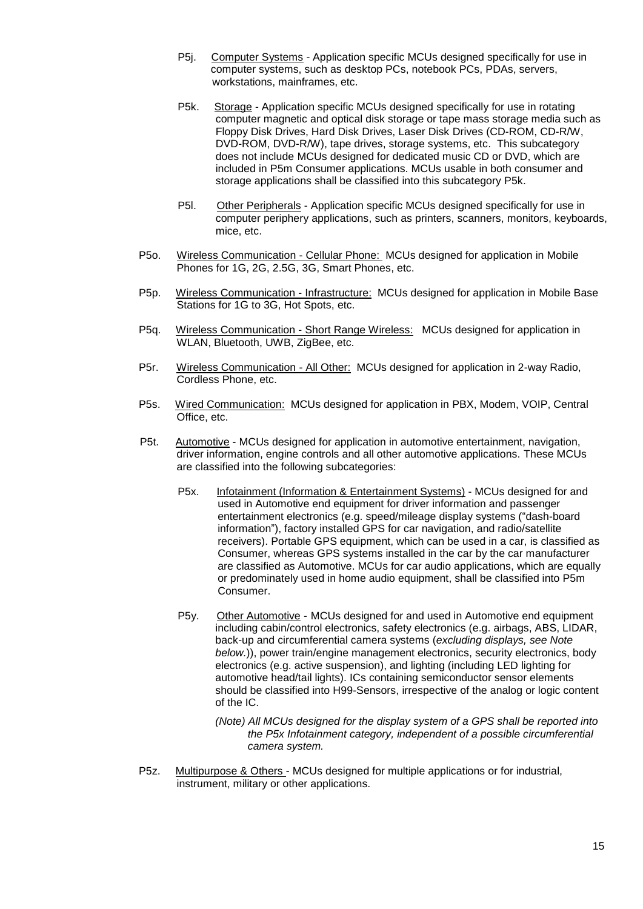- P5j. Computer Systems Application specific MCUs designed specifically for use in computer systems, such as desktop PCs, notebook PCs, PDAs, servers, workstations, mainframes, etc.
- P5k. Storage Application specific MCUs designed specifically for use in rotating computer magnetic and optical disk storage or tape mass storage media such as Floppy Disk Drives, Hard Disk Drives, Laser Disk Drives (CD-ROM, CD-R/W, DVD-ROM, DVD-R/W), tape drives, storage systems, etc. This subcategory does not include MCUs designed for dedicated music CD or DVD, which are included in P5m Consumer applications. MCUs usable in both consumer and storage applications shall be classified into this subcategory P5k.
- P5l. Other Peripherals Application specific MCUs designed specifically for use in computer periphery applications, such as printers, scanners, monitors, keyboards, mice, etc.
- P5o. Wireless Communication Cellular Phone: MCUs designed for application in Mobile Phones for 1G, 2G, 2.5G, 3G, Smart Phones, etc.
- P5p. Wireless Communication Infrastructure: MCUs designed for application in Mobile Base Stations for 1G to 3G, Hot Spots, etc.
- P5q. Wireless Communication Short Range Wireless: MCUs designed for application in WLAN, Bluetooth, UWB, ZigBee, etc.
- P5r. Wireless Communication All Other: MCUs designed for application in 2-way Radio, Cordless Phone, etc.
- P5s. Wired Communication: MCUs designed for application in PBX, Modem, VOIP, Central Office, etc.
- P5t. Automotive MCUs designed for application in automotive entertainment, navigation, driver information, engine controls and all other automotive applications. These MCUs are classified into the following subcategories:
	- P5x. Infotainment (Information & Entertainment Systems) MCUs designed for and used in Automotive end equipment for driver information and passenger entertainment electronics (e.g. speed/mileage display systems ("dash-board information"), factory installed GPS for car navigation, and radio/satellite receivers). Portable GPS equipment, which can be used in a car, is classified as Consumer, whereas GPS systems installed in the car by the car manufacturer are classified as Automotive. MCUs for car audio applications, which are equally or predominately used in home audio equipment, shall be classified into P5m Consumer.
	- P5y. Other Automotive MCUs designed for and used in Automotive end equipment including cabin/control electronics, safety electronics (e.g. airbags, ABS, LIDAR, back-up and circumferential camera systems (*excluding displays, see Note below.*)), power train/engine management electronics, security electronics, body electronics (e.g. active suspension), and lighting (including LED lighting for automotive head/tail lights). ICs containing semiconductor sensor elements should be classified into H99-Sensors, irrespective of the analog or logic content of the IC.
		- *(Note) All MCUs designed for the display system of a GPS shall be reported into the P5x Infotainment category, independent of a possible circumferential camera system.*
- P5z. Multipurpose & Others MCUs designed for multiple applications or for industrial, instrument, military or other applications.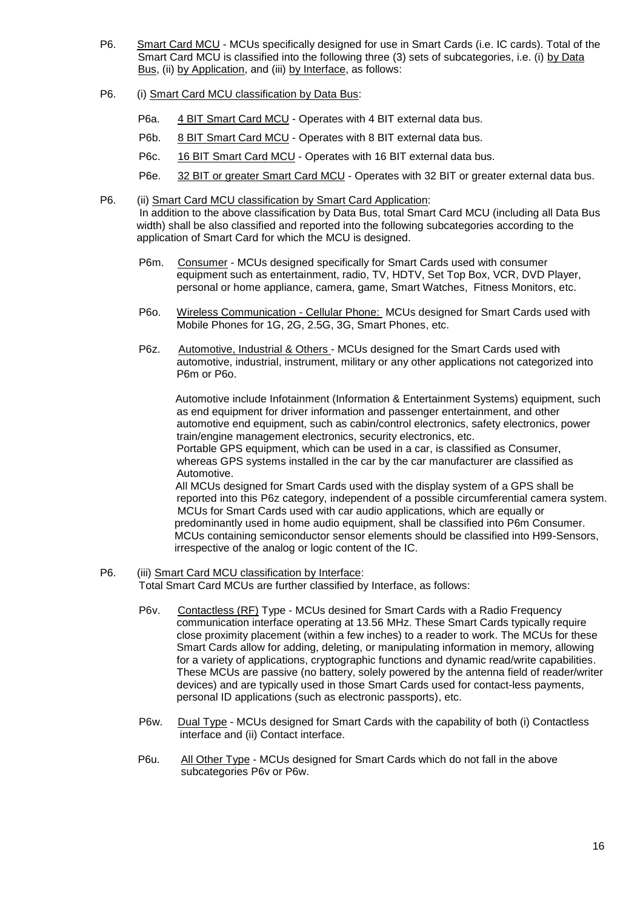- P6. Smart Card MCU MCUs specifically designed for use in Smart Cards (i.e. IC cards). Total of the Smart Card MCU is classified into the following three (3) sets of subcategories, i.e. (i) by Data Bus, (ii) by Application, and (iii) by Interface, as follows:
- P6. (i) Smart Card MCU classification by Data Bus:
	- P6a. 4 BIT Smart Card MCU Operates with 4 BIT external data bus.
	- P6b. 8 BIT Smart Card MCU Operates with 8 BIT external data bus.
	- P6c. 16 BIT Smart Card MCU Operates with 16 BIT external data bus.
	- P6e. 32 BIT or greater Smart Card MCU Operates with 32 BIT or greater external data bus.
- P6. (ii) Smart Card MCU classification by Smart Card Application: In addition to the above classification by Data Bus, total Smart Card MCU (including all Data Bus width) shall be also classified and reported into the following subcategories according to the application of Smart Card for which the MCU is designed.
	- P6m. Consumer MCUs designed specifically for Smart Cards used with consumer equipment such as entertainment, radio, TV, HDTV, Set Top Box, VCR, DVD Player, personal or home appliance, camera, game, Smart Watches, Fitness Monitors, etc.
	- P6o. Wireless Communication Cellular Phone: MCUs designed for Smart Cards used with Mobile Phones for 1G, 2G, 2.5G, 3G, Smart Phones, etc.
	- P6z. Automotive, Industrial & Others MCUs designed for the Smart Cards used with automotive, industrial, instrument, military or any other applications not categorized into P6m or P6o.

Automotive include Infotainment (Information & Entertainment Systems) equipment, such as end equipment for driver information and passenger entertainment, and other automotive end equipment, such as cabin/control electronics, safety electronics, power train/engine management electronics, security electronics, etc.

Portable GPS equipment, which can be used in a car, is classified as Consumer, whereas GPS systems installed in the car by the car manufacturer are classified as Automotive.

All MCUs designed for Smart Cards used with the display system of a GPS shall be reported into this P6z category, independent of a possible circumferential camera system. MCUs for Smart Cards used with car audio applications, which are equally or predominantly used in home audio equipment, shall be classified into P6m Consumer. MCUs containing semiconductor sensor elements should be classified into H99-Sensors, irrespective of the analog or logic content of the IC.

- P6. (iii) Smart Card MCU classification by Interface: Total Smart Card MCUs are further classified by Interface, as follows:
	- P6v. Contactless (RF) Type MCUs desined for Smart Cards with a Radio Frequency communication interface operating at 13.56 MHz. These Smart Cards typically require close proximity placement (within a few inches) to a reader to work. The MCUs for these Smart Cards allow for adding, deleting, or manipulating information in memory, allowing for a variety of applications, cryptographic functions and dynamic read/write capabilities. These MCUs are passive (no battery, solely powered by the antenna field of reader/writer devices) and are typically used in those Smart Cards used for contact-less payments, personal ID applications (such as electronic passports), etc.
	- P6w. Dual Type MCUs designed for Smart Cards with the capability of both (i) Contactless interface and (ii) Contact interface.
	- P6u. All Other Type MCUs designed for Smart Cards which do not fall in the above subcategories P6v or P6w.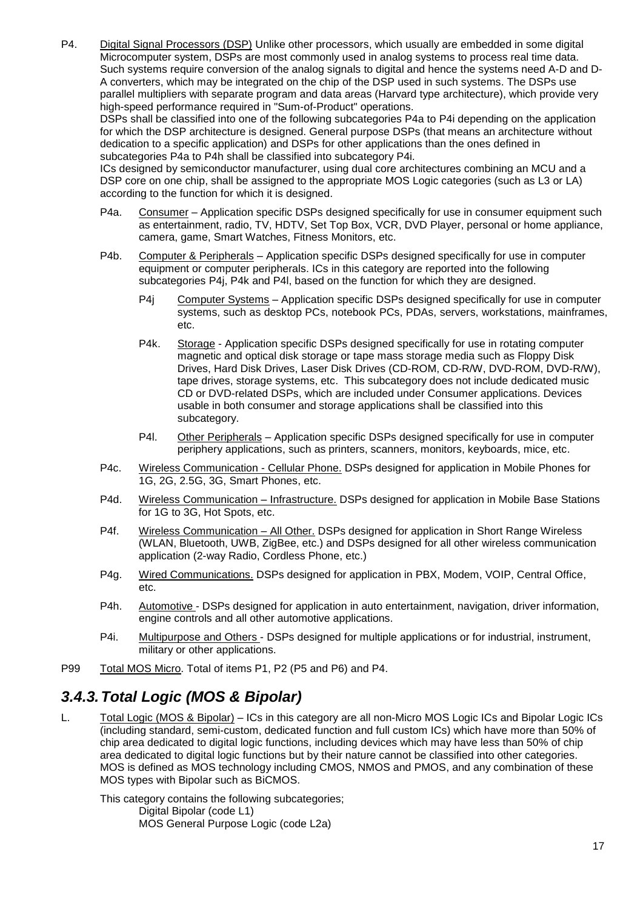P4. Digital Signal Processors (DSP) Unlike other processors, which usually are embedded in some digital Microcomputer system, DSPs are most commonly used in analog systems to process real time data. Such systems require conversion of the analog signals to digital and hence the systems need A-D and D-A converters, which may be integrated on the chip of the DSP used in such systems. The DSPs use parallel multipliers with separate program and data areas (Harvard type architecture), which provide very high-speed performance required in "Sum-of-Product" operations.

DSPs shall be classified into one of the following subcategories P4a to P4i depending on the application for which the DSP architecture is designed. General purpose DSPs (that means an architecture without dedication to a specific application) and DSPs for other applications than the ones defined in subcategories P4a to P4h shall be classified into subcategory P4i.

ICs designed by semiconductor manufacturer, using dual core architectures combining an MCU and a DSP core on one chip, shall be assigned to the appropriate MOS Logic categories (such as L3 or LA) according to the function for which it is designed.

- P4a. Consumer Application specific DSPs designed specifically for use in consumer equipment such as entertainment, radio, TV, HDTV, Set Top Box, VCR, DVD Player, personal or home appliance, camera, game, Smart Watches, Fitness Monitors, etc.
- P4b. Computer & Peripherals Application specific DSPs designed specifically for use in computer equipment or computer peripherals. ICs in this category are reported into the following subcategories P4j, P4k and P4l, based on the function for which they are designed.
	- P4j Computer Systems Application specific DSPs designed specifically for use in computer systems, such as desktop PCs, notebook PCs, PDAs, servers, workstations, mainframes, etc.
	- P4k. Storage Application specific DSPs designed specifically for use in rotating computer magnetic and optical disk storage or tape mass storage media such as Floppy Disk Drives, Hard Disk Drives, Laser Disk Drives (CD-ROM, CD-R/W, DVD-ROM, DVD-R/W), tape drives, storage systems, etc. This subcategory does not include dedicated music CD or DVD-related DSPs, which are included under Consumer applications. Devices usable in both consumer and storage applications shall be classified into this subcategory.
	- P4l. Other Peripherals Application specific DSPs designed specifically for use in computer periphery applications, such as printers, scanners, monitors, keyboards, mice, etc.
- P4c. Wireless Communication Cellular Phone. DSPs designed for application in Mobile Phones for 1G, 2G, 2.5G, 3G, Smart Phones, etc.
- P4d. Wireless Communication Infrastructure. DSPs designed for application in Mobile Base Stations for 1G to 3G, Hot Spots, etc.
- P4f. Wireless Communication All Other. DSPs designed for application in Short Range Wireless (WLAN, Bluetooth, UWB, ZigBee, etc.) and DSPs designed for all other wireless communication application (2-way Radio, Cordless Phone, etc.)
- P4g. Wired Communications. DSPs designed for application in PBX, Modem, VOIP, Central Office, etc.
- P4h. Automotive DSPs designed for application in auto entertainment, navigation, driver information, engine controls and all other automotive applications.
- P4i. Multipurpose and Others DSPs designed for multiple applications or for industrial, instrument, military or other applications.
- P99 Total MOS Micro. Total of items P1, P2 (P5 and P6) and P4.

# <span id="page-16-0"></span>*3.4.3.Total Logic (MOS & Bipolar)*

L. Total Logic (MOS & Bipolar) – ICs in this category are all non-Micro MOS Logic ICs and Bipolar Logic ICs (including standard, semi-custom, dedicated function and full custom ICs) which have more than 50% of chip area dedicated to digital logic functions, including devices which may have less than 50% of chip area dedicated to digital logic functions but by their nature cannot be classified into other categories. MOS is defined as MOS technology including CMOS, NMOS and PMOS, and any combination of these MOS types with Bipolar such as BiCMOS.

This category contains the following subcategories; Digital Bipolar (code L1) MOS General Purpose Logic (code L2a)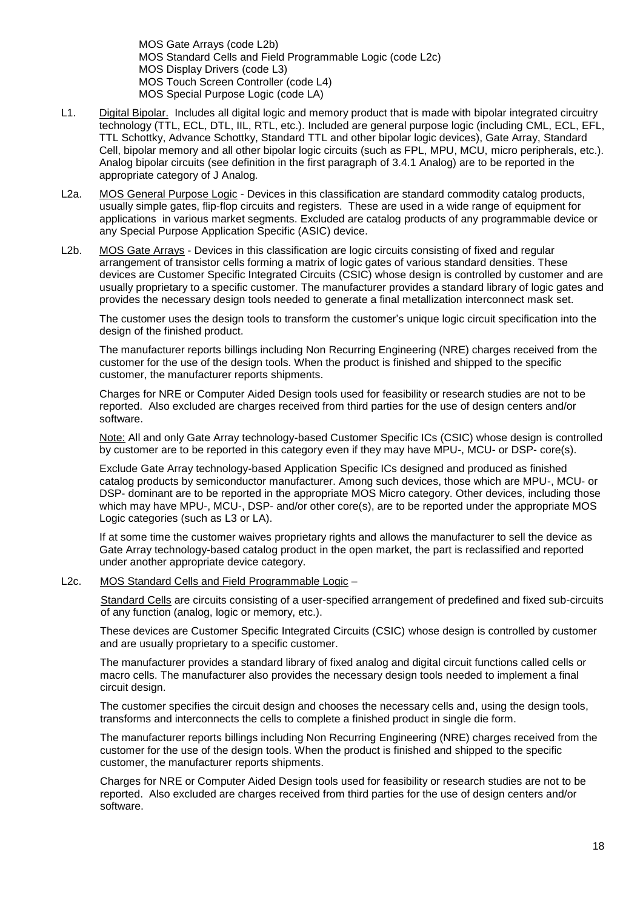MOS Gate Arrays (code L2b) MOS Standard Cells and Field Programmable Logic (code L2c) MOS Display Drivers (code L3) MOS Touch Screen Controller (code L4) MOS Special Purpose Logic (code LA)

- L1. Digital Bipolar. Includes all digital logic and memory product that is made with bipolar integrated circuitry technology (TTL, ECL, DTL, IIL, RTL, etc.). Included are general purpose logic (including CML, ECL, EFL, TTL Schottky, Advance Schottky, Standard TTL and other bipolar logic devices), Gate Array, Standard Cell, bipolar memory and all other bipolar logic circuits (such as FPL, MPU, MCU, micro peripherals, etc.). Analog bipolar circuits (see definition in the first paragraph of [3.4.1](#page-7-0) [Analog\)](#page-7-0) are to be reported in the appropriate category of J Analog*.*
- L2a. MOS General Purpose Logic Devices in this classification are standard commodity catalog products, usually simple gates, flip-flop circuits and registers. These are used in a wide range of equipment for applications in various market segments. Excluded are catalog products of any programmable device or any Special Purpose Application Specific (ASIC) device.
- L2b. MOS Gate Arrays Devices in this classification are logic circuits consisting of fixed and regular arrangement of transistor cells forming a matrix of logic gates of various standard densities. These devices are Customer Specific Integrated Circuits (CSIC) whose design is controlled by customer and are usually proprietary to a specific customer. The manufacturer provides a standard library of logic gates and provides the necessary design tools needed to generate a final metallization interconnect mask set.

The customer uses the design tools to transform the customer's unique logic circuit specification into the design of the finished product.

The manufacturer reports billings including Non Recurring Engineering (NRE) charges received from the customer for the use of the design tools. When the product is finished and shipped to the specific customer, the manufacturer reports shipments.

Charges for NRE or Computer Aided Design tools used for feasibility or research studies are not to be reported. Also excluded are charges received from third parties for the use of design centers and/or software.

Note: All and only Gate Array technology-based Customer Specific ICs (CSIC) whose design is controlled by customer are to be reported in this category even if they may have MPU-, MCU- or DSP- core(s).

Exclude Gate Array technology-based Application Specific ICs designed and produced as finished catalog products by semiconductor manufacturer. Among such devices, those which are MPU-, MCU- or DSP- dominant are to be reported in the appropriate MOS Micro category. Other devices, including those which may have MPU-, MCU-, DSP- and/or other core(s), are to be reported under the appropriate MOS Logic categories (such as L3 or LA).

If at some time the customer waives proprietary rights and allows the manufacturer to sell the device as Gate Array technology-based catalog product in the open market, the part is reclassified and reported under another appropriate device category.

L2c. MOS Standard Cells and Field Programmable Logic –

Standard Cells are circuits consisting of a user-specified arrangement of predefined and fixed sub-circuits of any function (analog, logic or memory, etc.).

These devices are Customer Specific Integrated Circuits (CSIC) whose design is controlled by customer and are usually proprietary to a specific customer.

The manufacturer provides a standard library of fixed analog and digital circuit functions called cells or macro cells. The manufacturer also provides the necessary design tools needed to implement a final circuit design.

The customer specifies the circuit design and chooses the necessary cells and, using the design tools, transforms and interconnects the cells to complete a finished product in single die form.

The manufacturer reports billings including Non Recurring Engineering (NRE) charges received from the customer for the use of the design tools. When the product is finished and shipped to the specific customer, the manufacturer reports shipments.

Charges for NRE or Computer Aided Design tools used for feasibility or research studies are not to be reported. Also excluded are charges received from third parties for the use of design centers and/or software.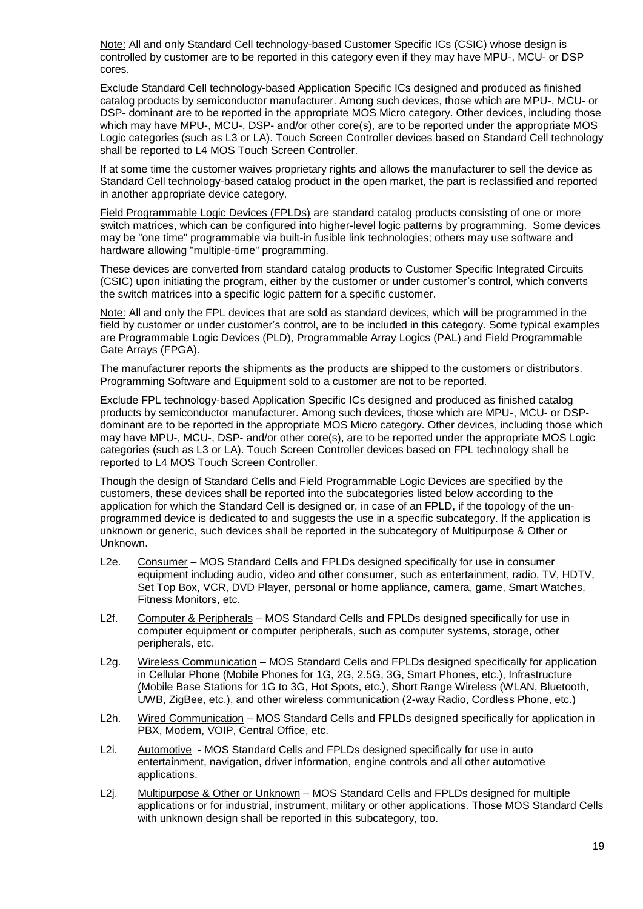Note: All and only Standard Cell technology-based Customer Specific ICs (CSIC) whose design is controlled by customer are to be reported in this category even if they may have MPU-, MCU- or DSP cores.

Exclude Standard Cell technology-based Application Specific ICs designed and produced as finished catalog products by semiconductor manufacturer. Among such devices, those which are MPU-, MCU- or DSP- dominant are to be reported in the appropriate MOS Micro category. Other devices, including those which may have MPU-, MCU-, DSP- and/or other core(s), are to be reported under the appropriate MOS Logic categories (such as L3 or LA). Touch Screen Controller devices based on Standard Cell technology shall be reported to L4 MOS Touch Screen Controller.

If at some time the customer waives proprietary rights and allows the manufacturer to sell the device as Standard Cell technology-based catalog product in the open market, the part is reclassified and reported in another appropriate device category.

Field Programmable Logic Devices (FPLDs) are standard catalog products consisting of one or more switch matrices, which can be configured into higher-level logic patterns by programming. Some devices may be "one time" programmable via built-in fusible link technologies; others may use software and hardware allowing "multiple-time" programming.

These devices are converted from standard catalog products to Customer Specific Integrated Circuits (CSIC) upon initiating the program, either by the customer or under customer's control, which converts the switch matrices into a specific logic pattern for a specific customer.

Note: All and only the FPL devices that are sold as standard devices, which will be programmed in the field by customer or under customer's control, are to be included in this category. Some typical examples are Programmable Logic Devices (PLD), Programmable Array Logics (PAL) and Field Programmable Gate Arrays (FPGA).

The manufacturer reports the shipments as the products are shipped to the customers or distributors. Programming Software and Equipment sold to a customer are not to be reported.

Exclude FPL technology-based Application Specific ICs designed and produced as finished catalog products by semiconductor manufacturer. Among such devices, those which are MPU-, MCU- or DSPdominant are to be reported in the appropriate MOS Micro category. Other devices, including those which may have MPU-, MCU-, DSP- and/or other core(s), are to be reported under the appropriate MOS Logic categories (such as L3 or LA). Touch Screen Controller devices based on FPL technology shall be reported to L4 MOS Touch Screen Controller.

Though the design of Standard Cells and Field Programmable Logic Devices are specified by the customers, these devices shall be reported into the subcategories listed below according to the application for which the Standard Cell is designed or, in case of an FPLD, if the topology of the unprogrammed device is dedicated to and suggests the use in a specific subcategory. If the application is unknown or generic, such devices shall be reported in the subcategory of Multipurpose & Other or Unknown.

- L2e. Consumer MOS Standard Cells and FPLDs designed specifically for use in consumer equipment including audio, video and other consumer, such as entertainment, radio, TV, HDTV, Set Top Box, VCR, DVD Player, personal or home appliance, camera, game, Smart Watches, Fitness Monitors, etc.
- L2f. Computer & Peripherals MOS Standard Cells and FPLDs designed specifically for use in computer equipment or computer peripherals, such as computer systems, storage, other peripherals, etc.
- L2g. Wireless Communication MOS Standard Cells and FPLDs designed specifically for application in Cellular Phone (Mobile Phones for 1G, 2G, 2.5G, 3G, Smart Phones, etc.), Infrastructure (Mobile Base Stations for 1G to 3G, Hot Spots, etc.), Short Range Wireless (WLAN, Bluetooth, UWB, ZigBee, etc.), and other wireless communication (2-way Radio, Cordless Phone, etc.)
- L2h. Wired Communication MOS Standard Cells and FPLDs designed specifically for application in PBX, Modem, VOIP, Central Office, etc.
- L2i. Automotive MOS Standard Cells and FPLDs designed specifically for use in auto entertainment, navigation, driver information, engine controls and all other automotive applications.
- L2j. Multipurpose & Other or Unknown MOS Standard Cells and FPLDs designed for multiple applications or for industrial, instrument, military or other applications. Those MOS Standard Cells with unknown design shall be reported in this subcategory, too.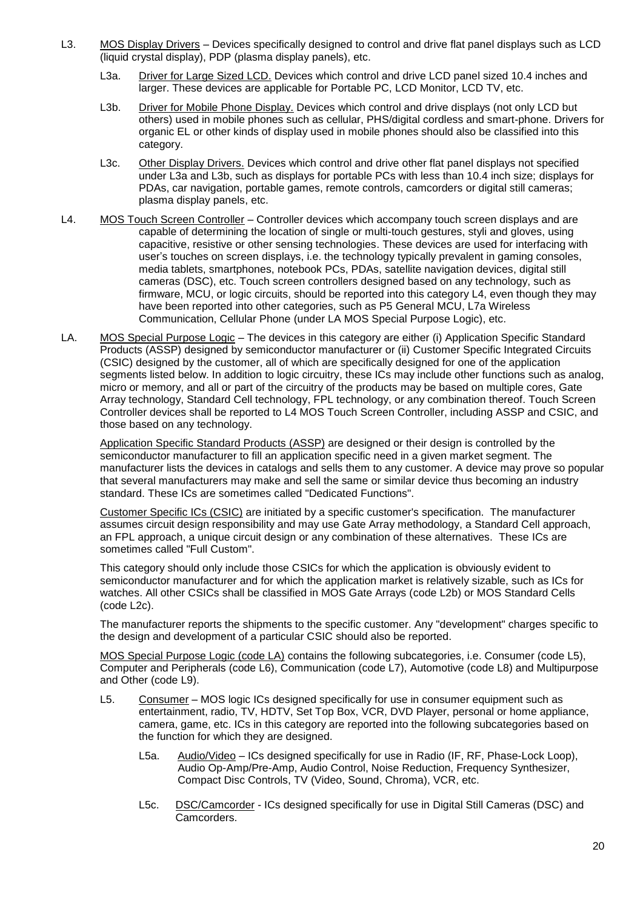- L3. MOS Display Drivers Devices specifically designed to control and drive flat panel displays such as LCD (liquid crystal display), PDP (plasma display panels), etc.
	- L3a. Driver for Large Sized LCD. Devices which control and drive LCD panel sized 10.4 inches and larger. These devices are applicable for Portable PC, LCD Monitor, LCD TV, etc.
	- L3b. Driver for Mobile Phone Display. Devices which control and drive displays (not only LCD but others) used in mobile phones such as cellular, PHS/digital cordless and smart-phone. Drivers for organic EL or other kinds of display used in mobile phones should also be classified into this category.
	- L3c. Other Display Drivers. Devices which control and drive other flat panel displays not specified under L3a and L3b, such as displays for portable PCs with less than 10.4 inch size; displays for PDAs, car navigation, portable games, remote controls, camcorders or digital still cameras; plasma display panels, etc.
- L4. MOS Touch Screen Controller Controller devices which accompany touch screen displays and are capable of determining the location of single or multi-touch gestures, styli and gloves, using capacitive, resistive or other sensing technologies. These devices are used for interfacing with user's touches on screen displays, i.e. the technology typically prevalent in gaming consoles, media tablets, smartphones, notebook PCs, PDAs, satellite navigation devices, digital still cameras (DSC), etc. Touch screen controllers designed based on any technology, such as firmware, MCU, or logic circuits, should be reported into this category L4, even though they may have been reported into other categories, such as P5 General MCU, L7a Wireless Communication, Cellular Phone (under LA MOS Special Purpose Logic), etc.
- LA. MOS Special Purpose Logic The devices in this category are either (i) Application Specific Standard Products (ASSP) designed by semiconductor manufacturer or (ii) Customer Specific Integrated Circuits (CSIC) designed by the customer, all of which are specifically designed for one of the application segments listed below. In addition to logic circuitry, these ICs may include other functions such as analog, micro or memory, and all or part of the circuitry of the products may be based on multiple cores, Gate Array technology, Standard Cell technology, FPL technology, or any combination thereof. Touch Screen Controller devices shall be reported to L4 MOS Touch Screen Controller, including ASSP and CSIC, and those based on any technology.

Application Specific Standard Products (ASSP) are designed or their design is controlled by the semiconductor manufacturer to fill an application specific need in a given market segment. The manufacturer lists the devices in catalogs and sells them to any customer. A device may prove so popular that several manufacturers may make and sell the same or similar device thus becoming an industry standard. These ICs are sometimes called "Dedicated Functions".

Customer Specific ICs (CSIC) are initiated by a specific customer's specification. The manufacturer assumes circuit design responsibility and may use Gate Array methodology, a Standard Cell approach, an FPL approach, a unique circuit design or any combination of these alternatives. These ICs are sometimes called "Full Custom".

This category should only include those CSICs for which the application is obviously evident to semiconductor manufacturer and for which the application market is relatively sizable, such as ICs for watches. All other CSICs shall be classified in MOS Gate Arrays (code L2b) or MOS Standard Cells (code L2c).

The manufacturer reports the shipments to the specific customer. Any "development" charges specific to the design and development of a particular CSIC should also be reported.

MOS Special Purpose Logic (code LA) contains the following subcategories, i.e. Consumer (code L5), Computer and Peripherals (code L6), Communication (code L7), Automotive (code L8) and Multipurpose and Other (code L9).

- L5. Consumer MOS logic ICs designed specifically for use in consumer equipment such as entertainment, radio, TV, HDTV, Set Top Box, VCR, DVD Player, personal or home appliance, camera, game, etc. ICs in this category are reported into the following subcategories based on the function for which they are designed.
	- L5a. Audio/Video ICs designed specifically for use in Radio (IF, RF, Phase-Lock Loop), Audio Op-Amp/Pre-Amp, Audio Control, Noise Reduction, Frequency Synthesizer, Compact Disc Controls, TV (Video, Sound, Chroma), VCR, etc.
	- L5c. DSC/Camcorder ICs designed specifically for use in Digital Still Cameras (DSC) and Camcorders.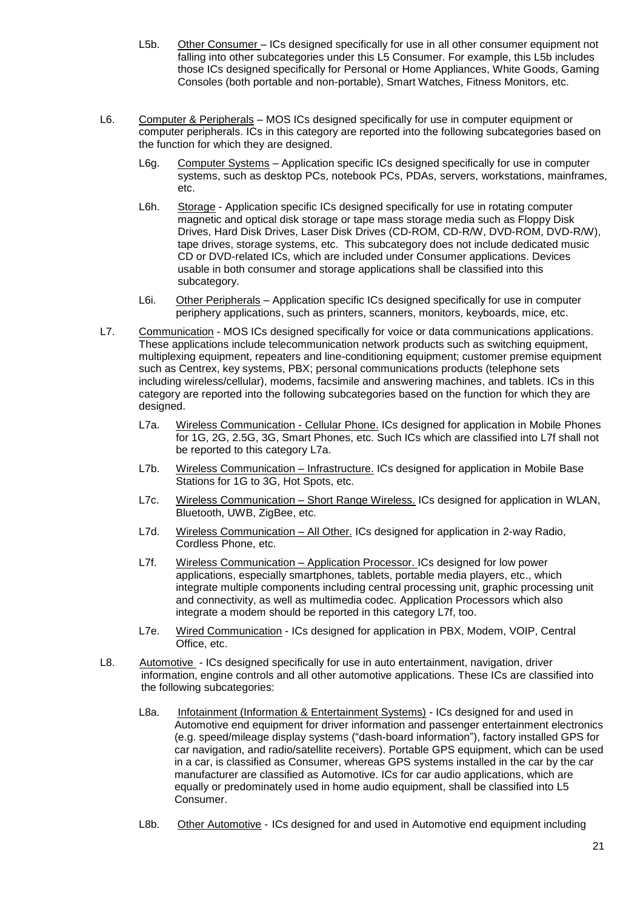- L5b. Other Consumer ICs designed specifically for use in all other consumer equipment not falling into other subcategories under this L5 Consumer. For example, this L5b includes those ICs designed specifically for Personal or Home Appliances, White Goods, Gaming Consoles (both portable and non-portable), Smart Watches, Fitness Monitors, etc.
- L6. Computer & Peripherals MOS ICs designed specifically for use in computer equipment or computer peripherals. ICs in this category are reported into the following subcategories based on the function for which they are designed.
	- L6g. Computer Systems Application specific ICs designed specifically for use in computer systems, such as desktop PCs, notebook PCs, PDAs, servers, workstations, mainframes, etc.
	- L6h. Storage Application specific ICs designed specifically for use in rotating computer magnetic and optical disk storage or tape mass storage media such as Floppy Disk Drives, Hard Disk Drives, Laser Disk Drives (CD-ROM, CD-R/W, DVD-ROM, DVD-R/W), tape drives, storage systems, etc. This subcategory does not include dedicated music CD or DVD-related ICs, which are included under Consumer applications. Devices usable in both consumer and storage applications shall be classified into this subcategory.
	- L6i. Other Peripherals Application specific ICs designed specifically for use in computer periphery applications, such as printers, scanners, monitors, keyboards, mice, etc.
- L7. Communication MOS ICs designed specifically for voice or data communications applications. These applications include telecommunication network products such as switching equipment, multiplexing equipment, repeaters and line-conditioning equipment; customer premise equipment such as Centrex, key systems, PBX; personal communications products (telephone sets including wireless/cellular), modems, facsimile and answering machines, and tablets. ICs in this category are reported into the following subcategories based on the function for which they are designed.
	- L7a. Wireless Communication Cellular Phone. ICs designed for application in Mobile Phones for 1G, 2G, 2.5G, 3G, Smart Phones, etc. Such ICs which are classified into L7f shall not be reported to this category L7a.
	- L7b. Wireless Communication Infrastructure. ICs designed for application in Mobile Base Stations for 1G to 3G, Hot Spots, etc.
	- L7c. Wireless Communication Short Range Wireless. ICs designed for application in WLAN, Bluetooth, UWB, ZigBee, etc.
	- L7d. Wireless Communication All Other. ICs designed for application in 2-way Radio, Cordless Phone, etc.
	- L7f. Wireless Communication Application Processor. ICs designed for low power applications, especially smartphones, tablets, portable media players, etc., which integrate multiple components including central processing unit, graphic processing unit and connectivity, as well as multimedia codec. Application Processors which also integrate a modem should be reported in this category L7f, too.
	- L7e. Wired Communication ICs designed for application in PBX, Modem, VOIP, Central Office, etc.
- L8. Automotive ICs designed specifically for use in auto entertainment, navigation, driver information, engine controls and all other automotive applications. These ICs are classified into the following subcategories:
	- L8a. Infotainment (Information & Entertainment Systems) ICs designed for and used in Automotive end equipment for driver information and passenger entertainment electronics (e.g. speed/mileage display systems ("dash-board information"), factory installed GPS for car navigation, and radio/satellite receivers). Portable GPS equipment, which can be used in a car, is classified as Consumer, whereas GPS systems installed in the car by the car manufacturer are classified as Automotive. ICs for car audio applications, which are equally or predominately used in home audio equipment, shall be classified into L5 Consumer.
	- L8b. Other Automotive ICs designed for and used in Automotive end equipment including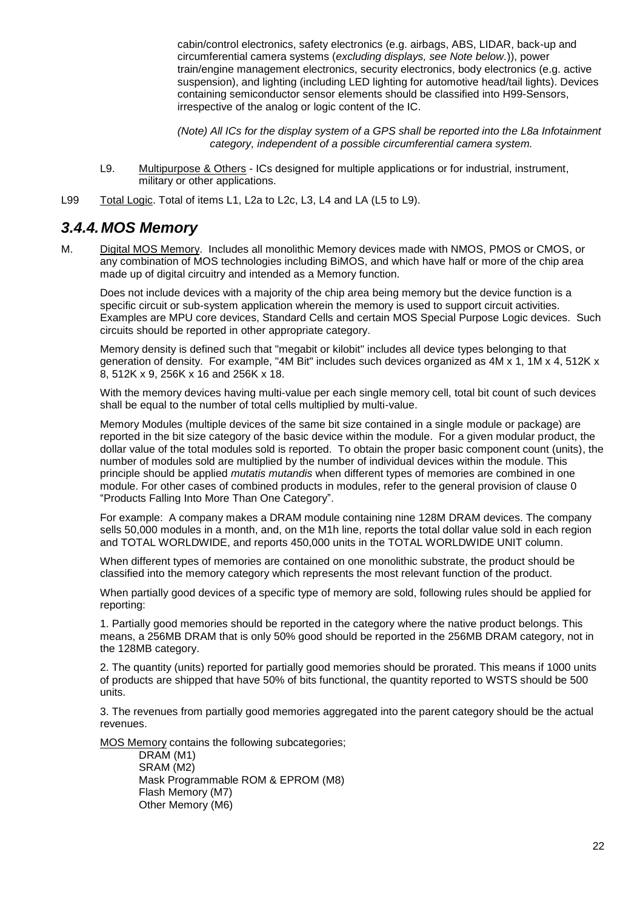cabin/control electronics, safety electronics (e.g. airbags, ABS, LIDAR, back-up and circumferential camera systems (*excluding displays, see Note below.*)), power train/engine management electronics, security electronics, body electronics (e.g. active suspension), and lighting (including LED lighting for automotive head/tail lights). Devices containing semiconductor sensor elements should be classified into H99-Sensors, irrespective of the analog or logic content of the IC.

*(Note) All ICs for the display system of a GPS shall be reported into the L8a Infotainment category, independent of a possible circumferential camera system.*

- L9. Multipurpose & Others ICs designed for multiple applications or for industrial, instrument, military or other applications.
- L99 Total Logic. Total of items L1, L2a to L2c, L3, L4 and LA (L5 to L9).

### <span id="page-21-0"></span>*3.4.4.MOS Memory*

M. Digital MOS Memory. Includes all monolithic Memory devices made with NMOS, PMOS or CMOS, or any combination of MOS technologies including BiMOS, and which have half or more of the chip area made up of digital circuitry and intended as a Memory function.

Does not include devices with a majority of the chip area being memory but the device function is a specific circuit or sub-system application wherein the memory is used to support circuit activities. Examples are MPU core devices, Standard Cells and certain MOS Special Purpose Logic devices. Such circuits should be reported in other appropriate category.

Memory density is defined such that "megabit or kilobit" includes all device types belonging to that generation of density. For example, "4M Bit" includes such devices organized as 4M x 1, 1M x 4, 512K x 8, 512K x 9, 256K x 16 and 256K x 18.

With the memory devices having multi-value per each single memory cell, total bit count of such devices shall be equal to the number of total cells multiplied by multi-value.

Memory Modules (multiple devices of the same bit size contained in a single module or package) are reported in the bit size category of the basic device within the module. For a given modular product, the dollar value of the total modules sold is reported. To obtain the proper basic component count (units), the number of modules sold are multiplied by the number of individual devices within the module. This principle should be applied *mutatis mutandis* when different types of memories are combined in one module. For other cases of combined products in modules, refer to the general provision of clause [0](#page-3-5) ["Products Falling Into More Than One Category"](#page-3-5).

For example: A company makes a DRAM module containing nine 128M DRAM devices. The company sells 50,000 modules in a month, and, on the M1h line, reports the total dollar value sold in each region and TOTAL WORLDWIDE, and reports 450,000 units in the TOTAL WORLDWIDE UNIT column.

When different types of memories are contained on one monolithic substrate, the product should be classified into the memory category which represents the most relevant function of the product.

When partially good devices of a specific type of memory are sold, following rules should be applied for reporting:

1. Partially good memories should be reported in the category where the native product belongs. This means, a 256MB DRAM that is only 50% good should be reported in the 256MB DRAM category, not in the 128MB category.

2. The quantity (units) reported for partially good memories should be prorated. This means if 1000 units of products are shipped that have 50% of bits functional, the quantity reported to WSTS should be 500 units.

3. The revenues from partially good memories aggregated into the parent category should be the actual revenues.

MOS Memory contains the following subcategories;

DRAM (M1) SRAM (M2) Mask Programmable ROM & EPROM (M8) Flash Memory (M7) Other Memory (M6)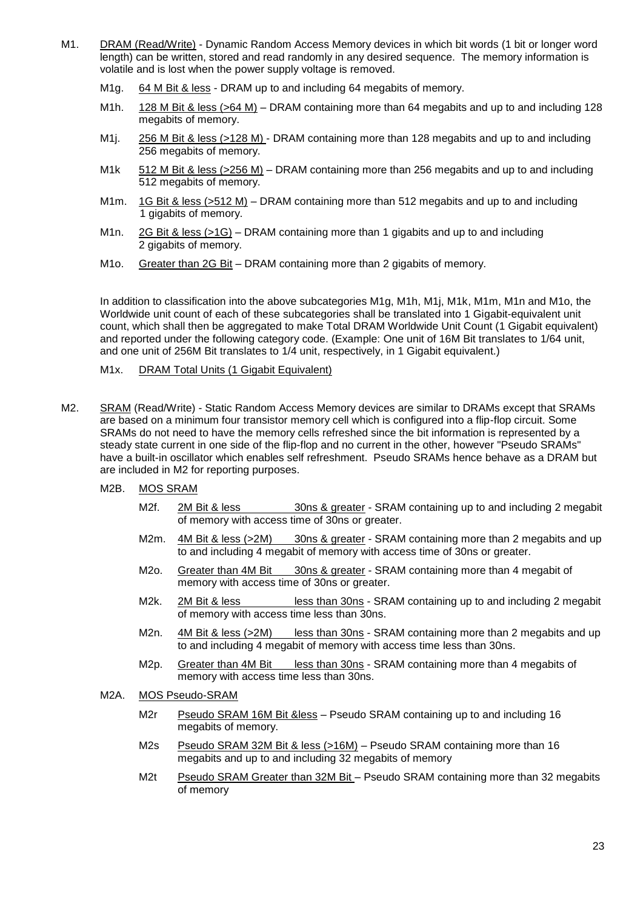- M1. DRAM (Read/Write) Dynamic Random Access Memory devices in which bit words (1 bit or longer word length) can be written, stored and read randomly in any desired sequence. The memory information is volatile and is lost when the power supply voltage is removed.
	- M1g. 64 M Bit & less DRAM up to and including 64 megabits of memory.
	- M1h. 128 M Bit & less (>64 M) DRAM containing more than 64 megabits and up to and including 128 megabits of memory.
	- M1j. 256 M Bit & less (>128 M) DRAM containing more than 128 megabits and up to and including 256 megabits of memory.
	- M1k 512 M Bit & less (>256 M) DRAM containing more than 256 megabits and up to and including 512 megabits of memory.
	- M1m. 1G Bit & less (>512 M) DRAM containing more than 512 megabits and up to and including 1 gigabits of memory.
	- M1n. 2G Bit & less (>1G) DRAM containing more than 1 gigabits and up to and including 2 gigabits of memory.
	- M1o. Greater than 2G Bit DRAM containing more than 2 gigabits of memory.

In addition to classification into the above subcategories M1g, M1h, M1j, M1k, M1m, M1n and M1o, the Worldwide unit count of each of these subcategories shall be translated into 1 Gigabit-equivalent unit count, which shall then be aggregated to make Total DRAM Worldwide Unit Count (1 Gigabit equivalent) and reported under the following category code. (Example: One unit of 16M Bit translates to 1/64 unit, and one unit of 256M Bit translates to 1/4 unit, respectively, in 1 Gigabit equivalent.)

M1x. DRAM Total Units (1 Gigabit Equivalent)

- M2. SRAM (Read/Write) Static Random Access Memory devices are similar to DRAMs except that SRAMs are based on a minimum four transistor memory cell which is configured into a flip-flop circuit. Some SRAMs do not need to have the memory cells refreshed since the bit information is represented by a steady state current in one side of the flip-flop and no current in the other, however "Pseudo SRAMs" have a built-in oscillator which enables self refreshment. Pseudo SRAMs hence behave as a DRAM but are included in M2 for reporting purposes.
	- M2B. MOS SRAM
		- M2f. 2M Bit & less 30ns & greater SRAM containing up to and including 2 megabit of memory with access time of 30ns or greater.
		- M2m. 4M Bit & less (>2M) 30ns & greater SRAM containing more than 2 megabits and up to and including 4 megabit of memory with access time of 30ns or greater.
		- M2o. Greater than 4M Bit 30ns & greater SRAM containing more than 4 megabit of memory with access time of 30ns or greater.
		- M2k. 2M Bit & less **less than 30ns SRAM containing up to and including 2 megabit** of memory with access time less than 30ns.
		- M<sub>2n.</sub> 4M Bit & less (>2M) less than 30ns SRAM containing more than 2 megabits and up to and including 4 megabit of memory with access time less than 30ns.
		- M2p. Greater than 4M Bit less than 30ns SRAM containing more than 4 megabits of memory with access time less than 30ns.
	- M2A. MOS Pseudo-SRAM
		- M2r Pseudo SRAM 16M Bit &less Pseudo SRAM containing up to and including 16 megabits of memory.
		- M2s Pseudo SRAM 32M Bit & less (>16M) Pseudo SRAM containing more than 16 megabits and up to and including 32 megabits of memory
		- M2t Pseudo SRAM Greater than 32M Bit Pseudo SRAM containing more than 32 megabits of memory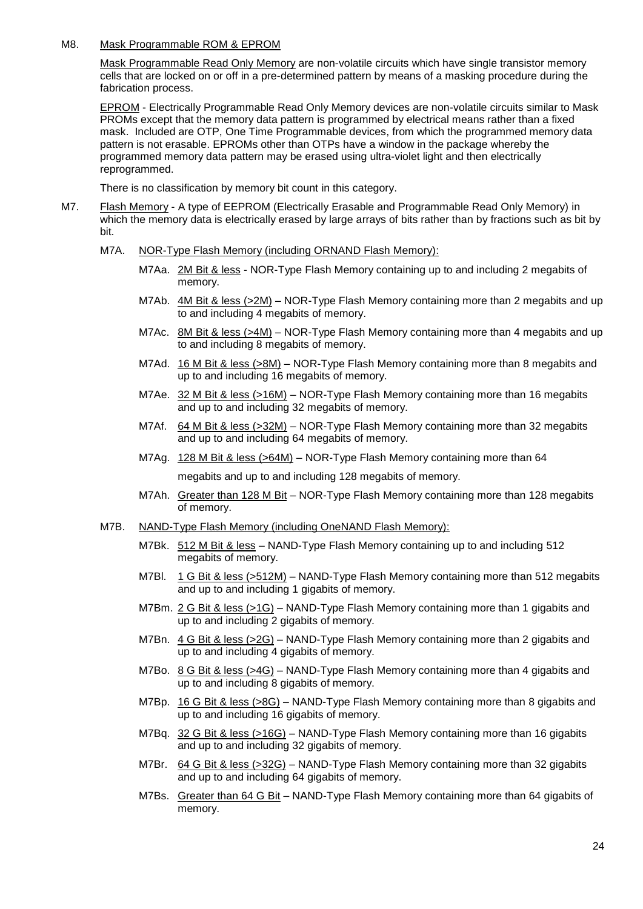#### M8. Mask Programmable ROM & EPROM

Mask Programmable Read Only Memory are non-volatile circuits which have single transistor memory cells that are locked on or off in a pre-determined pattern by means of a masking procedure during the fabrication process.

EPROM - Electrically Programmable Read Only Memory devices are non-volatile circuits similar to Mask PROMs except that the memory data pattern is programmed by electrical means rather than a fixed mask. Included are OTP, One Time Programmable devices, from which the programmed memory data pattern is not erasable. EPROMs other than OTPs have a window in the package whereby the programmed memory data pattern may be erased using ultra-violet light and then electrically reprogrammed.

There is no classification by memory bit count in this category.

- M7. Flash Memory A type of EEPROM (Electrically Erasable and Programmable Read Only Memory) in which the memory data is electrically erased by large arrays of bits rather than by fractions such as bit by bit.
	- M7A. NOR-Type Flash Memory (including ORNAND Flash Memory):
		- M7Aa. 2M Bit & less NOR-Type Flash Memory containing up to and including 2 megabits of memory.
		- M7Ab. 4M Bit & less (>2M) NOR-Type Flash Memory containing more than 2 megabits and up to and including 4 megabits of memory.
		- M7Ac. 8M Bit & less (>4M) NOR-Type Flash Memory containing more than 4 megabits and up to and including 8 megabits of memory.
		- M7Ad. 16 M Bit & less (>8M) NOR-Type Flash Memory containing more than 8 megabits and up to and including 16 megabits of memory.
		- M7Ae. 32 M Bit & less (>16M) NOR-Type Flash Memory containing more than 16 megabits and up to and including 32 megabits of memory.
		- M7Af. 64 M Bit & less (>32M) NOR-Type Flash Memory containing more than 32 megabits and up to and including 64 megabits of memory.
		- M7Ag. 128 M Bit & less (>64M) NOR-Type Flash Memory containing more than 64 megabits and up to and including 128 megabits of memory.
		- M7Ah. Greater than 128 M Bit NOR-Type Flash Memory containing more than 128 megabits of memory.
	- M7B. NAND-Type Flash Memory (including OneNAND Flash Memory):
		- M7Bk. 512 M Bit & less NAND-Type Flash Memory containing up to and including 512 megabits of memory.
		- M7Bl. 1 G Bit & less (>512M) NAND-Type Flash Memory containing more than 512 megabits and up to and including 1 gigabits of memory.
		- M7Bm. 2 G Bit & less (>1G) NAND-Type Flash Memory containing more than 1 gigabits and up to and including 2 gigabits of memory.
		- M7Bn. 4 G Bit & less (>2G) NAND-Type Flash Memory containing more than 2 gigabits and up to and including 4 gigabits of memory.
		- M7Bo. 8 G Bit & less (>4G) NAND-Type Flash Memory containing more than 4 gigabits and up to and including 8 gigabits of memory.
		- M7Bp. 16 G Bit & less (>8G) NAND-Type Flash Memory containing more than 8 gigabits and up to and including 16 gigabits of memory.
		- M7Bq. 32 G Bit & less (>16G) NAND-Type Flash Memory containing more than 16 gigabits and up to and including 32 gigabits of memory.
		- M7Br. 64 G Bit & less (>32G) NAND-Type Flash Memory containing more than 32 gigabits and up to and including 64 gigabits of memory.
		- M7Bs. Greater than 64 G Bit NAND-Type Flash Memory containing more than 64 gigabits of memory.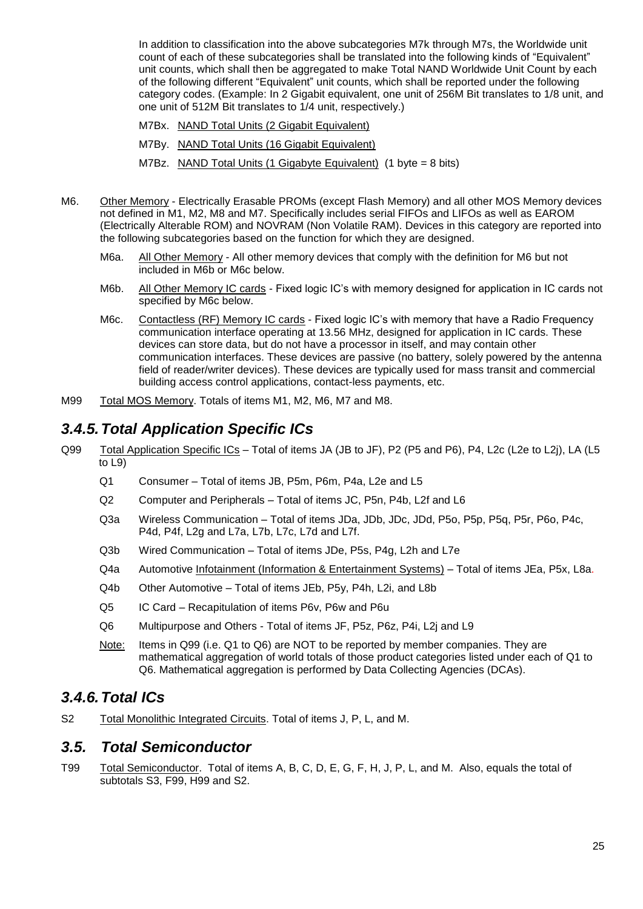In addition to classification into the above subcategories M7k through M7s, the Worldwide unit count of each of these subcategories shall be translated into the following kinds of "Equivalent" unit counts, which shall then be aggregated to make Total NAND Worldwide Unit Count by each of the following different "Equivalent" unit counts, which shall be reported under the following category codes. (Example: In 2 Gigabit equivalent, one unit of 256M Bit translates to 1/8 unit, and one unit of 512M Bit translates to 1/4 unit, respectively.)

- M7Bx. NAND Total Units (2 Gigabit Equivalent)
- M7By. NAND Total Units (16 Gigabit Equivalent)
- M7Bz. NAND Total Units (1 Gigabyte Equivalent) (1 byte = 8 bits)
- M6. Other Memory Electrically Erasable PROMs (except Flash Memory) and all other MOS Memory devices not defined in M1, M2, M8 and M7. Specifically includes serial FIFOs and LIFOs as well as EAROM (Electrically Alterable ROM) and NOVRAM (Non Volatile RAM). Devices in this category are reported into the following subcategories based on the function for which they are designed.
	- M6a. All Other Memory All other memory devices that comply with the definition for M6 but not included in M6b or M6c below.
	- M6b. All Other Memory IC cards Fixed logic IC's with memory designed for application in IC cards not specified by M6c below.
	- M6c. Contactless (RF) Memory IC cards Fixed logic IC's with memory that have a Radio Frequency communication interface operating at 13.56 MHz, designed for application in IC cards. These devices can store data, but do not have a processor in itself, and may contain other communication interfaces. These devices are passive (no battery, solely powered by the antenna field of reader/writer devices). These devices are typically used for mass transit and commercial building access control applications, contact-less payments, etc.
- M99 Total MOS Memory. Totals of items M1, M2, M6, M7 and M8.

### <span id="page-24-0"></span>*3.4.5.Total Application Specific ICs*

- Q99 Total Application Specific ICs Total of items JA (JB to JF), P2 (P5 and P6), P4, L2c (L2e to L2j), LA (L5 to L9)
	- Q1 Consumer Total of items JB, P5m, P6m, P4a, L2e and L5
	- Q2 Computer and Peripherals Total of items JC, P5n, P4b, L2f and L6
	- Q3a Wireless Communication Total of items JDa, JDb, JDc, JDd, P5o, P5p, P5q, P5r, P6o, P4c, P4d, P4f, L2g and L7a, L7b, L7c, L7d and L7f.
	- Q3b Wired Communication Total of items JDe, P5s, P4g, L2h and L7e
	- Q4a Automotive Infotainment (Information & Entertainment Systems) Total of items JEa, P5x, L8a.
	- Q4b Other Automotive Total of items JEb, P5y, P4h, L2i, and L8b
	- Q5 IC Card Recapitulation of items P6v, P6w and P6u
	- Q6 Multipurpose and Others Total of items JF, P5z, P6z, P4i, L2j and L9
	- Note: Items in Q99 (i.e. Q1 to Q6) are NOT to be reported by member companies. They are mathematical aggregation of world totals of those product categories listed under each of Q1 to Q6. Mathematical aggregation is performed by Data Collecting Agencies (DCAs).

### <span id="page-24-1"></span>*3.4.6.Total ICs*

S2 Total Monolithic Integrated Circuits. Total of items J, P, L, and M.

### <span id="page-24-2"></span>*3.5. Total Semiconductor*

T99 Total Semiconductor. Total of items A, B, C, D, E, G, F, H, J, P, L, and M. Also, equals the total of subtotals S3, F99, H99 and S2.